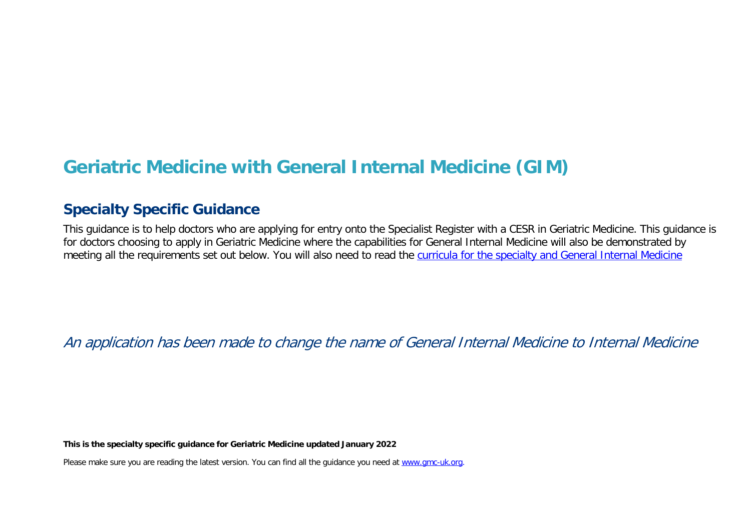# **Geriatric Medicine with General Internal Medicine (GIM)**

# **Specialty Specific Guidance**

This guidance is to help doctors who are applying for entry onto the Specialist Register with a CESR in Geriatric Medicine. This guidance is for doctors choosing to apply in Geriatric Medicine where the capabilities for General Internal Medicine will also be demonstrated by meeting all the requirements set out below. You will also need to read the [curricula for the specialty and General Internal Medicine](https://www.jrcptb.org.uk/specialties/general-internal-medicine-gim)

An application has been made to change the name of General Internal Medicine to Internal Medicine

**This is the specialty specific guidance for Geriatric Medicine updated January 2022**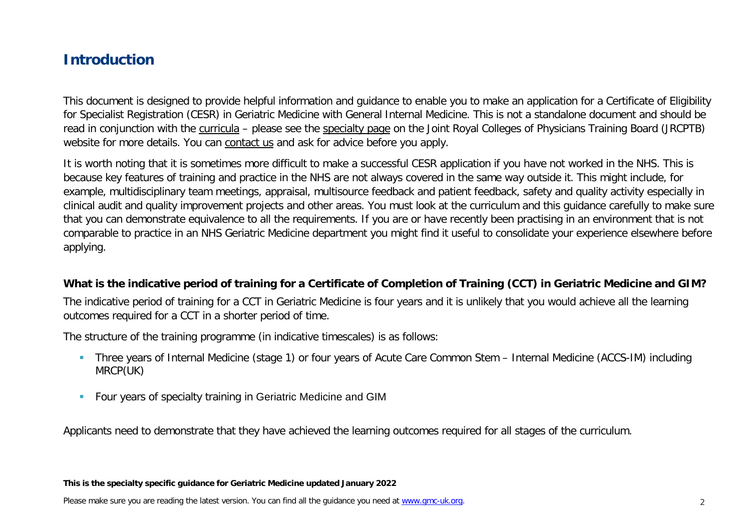# **Introduction**

This document is designed to provide helpful information and guidance to enable you to make an application for a Certificate of Eligibility for Specialist Registration (CESR) in Geriatric Medicine with General Internal Medicine. This is not a standalone document and should be read in conjunction with the [curricula](https://www.gmc-uk.org/education/standards-guidance-and-curricula/curricula#T) – please see the [specialty page](https://www.jrcptb.org.uk/specialties/geriatric-medicine) on the Joint Royal Colleges of Physicians Training Board (JRCPTB) website for more details. You can [contact us](http://www.gmc-uk.org/about/contacts.asp) and ask for advice before you apply.

It is worth noting that it is sometimes more difficult to make a successful CESR application if you have not worked in the NHS. This is because key features of training and practice in the NHS are not always covered in the same way outside it. This might include, for example, multidisciplinary team meetings, appraisal, multisource feedback and patient feedback, safety and quality activity especially in clinical audit and quality improvement projects and other areas. You must look at the curriculum and this guidance carefully to make sure that you can demonstrate equivalence to all the requirements. If you are or have recently been practising in an environment that is not comparable to practice in an NHS Geriatric Medicine department you might find it useful to consolidate your experience elsewhere before applying.

#### **What is the indicative period of training for a Certificate of Completion of Training (CCT) in Geriatric Medicine and GIM?**

The indicative period of training for a CCT in Geriatric Medicine is four years and it is unlikely that you would achieve all the learning outcomes required for a CCT in a shorter period of time.

The structure of the training programme (in indicative timescales) is as follows:

- Three years of Internal Medicine (stage 1) or four years of Acute Care Common Stem Internal Medicine (ACCS-IM) including MRCP(UK)
- **Four years of specialty training in Geriatric Medicine and GIM**

Applicants need to demonstrate that they have achieved the learning outcomes required for all stages of the curriculum.

#### **This is the specialty specific guidance for Geriatric Medicine updated January 2022**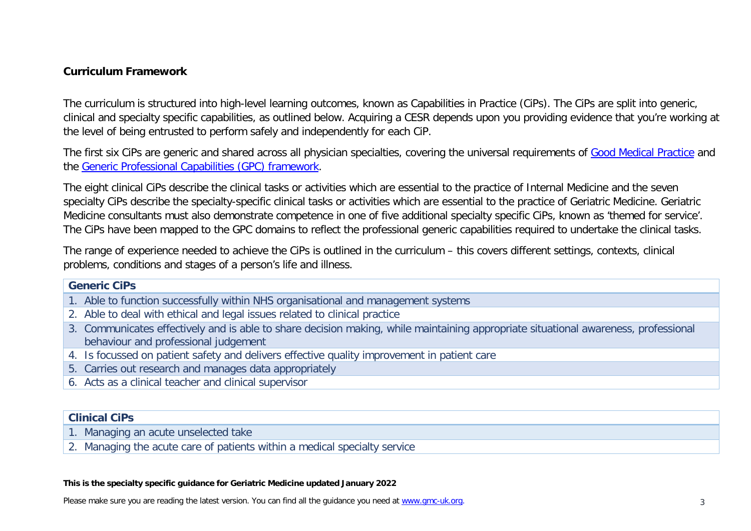#### **Curriculum Framework**

The curriculum is structured into high-level learning outcomes, known as Capabilities in Practice (CiPs). The CiPs are split into generic, clinical and specialty specific capabilities, as outlined below. Acquiring a CESR depends upon you providing evidence that you're working at the level of being entrusted to perform safely and independently for each CiP.

The first six CiPs are generic and shared across all physician specialties, covering the universal requirements of [Good Medical Practice](https://www.gmc-uk.org/-/media/documents/good-medical-practice---english-20200128_pdf-51527435.pdf?la=en&hash=DA1263358CCA88F298785FE2BD7610EB4EE9A530) and the [Generic Professional Capabilities \(GPC\) framework.](https://www.gmc-uk.org/-/media/documents/generic-professional-capabilities-framework--0817_pdf-70417127.pdf)

The eight clinical CiPs describe the clinical tasks or activities which are essential to the practice of Internal Medicine and the seven specialty CiPs describe the specialty-specific clinical tasks or activities which are essential to the practice of Geriatric Medicine. Geriatric Medicine consultants must also demonstrate competence in one of five additional specialty specific CiPs, known as 'themed for service'. The CiPs have been mapped to the GPC domains to reflect the professional generic capabilities required to undertake the clinical tasks.

The range of experience needed to achieve the CiPs is outlined in the curriculum – this covers different settings, contexts, clinical problems, conditions and stages of a person's life and illness.

#### **Generic CiPs**

- 1. Able to function successfully within NHS organisational and management systems
- 2. Able to deal with ethical and legal issues related to clinical practice
- 3. Communicates effectively and is able to share decision making, while maintaining appropriate situational awareness, professional behaviour and professional judgement
- 4. Is focussed on patient safety and delivers effective quality improvement in patient care
- 5. Carries out research and manages data appropriately
- 6. Acts as a clinical teacher and clinical supervisor

#### **Clinical CiPs**

- 1. Managing an acute unselected take
- 2. Managing the acute care of patients within a medical specialty service

#### **This is the specialty specific guidance for Geriatric Medicine updated January 2022**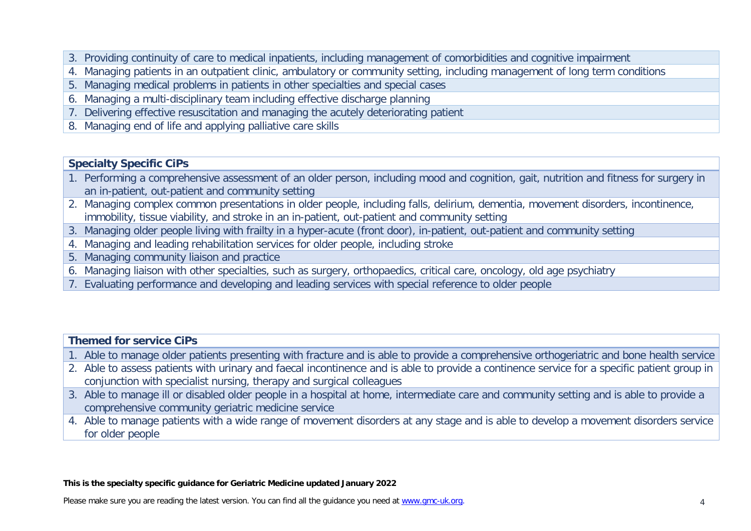- 3. Providing continuity of care to medical inpatients, including management of comorbidities and cognitive impairment
- 4. Managing patients in an outpatient clinic, ambulatory or community setting, including management of long term conditions
- 5. Managing medical problems in patients in other specialties and special cases
- 6. Managing a multi-disciplinary team including effective discharge planning
- 7. Delivering effective resuscitation and managing the acutely deteriorating patient
- 8. Managing end of life and applying palliative care skills

#### **Specialty Specific CiPs**

- 1. Performing a comprehensive assessment of an older person, including mood and cognition, gait, nutrition and fitness for surgery in an in-patient, out-patient and community setting
- 2. Managing complex common presentations in older people, including falls, delirium, dementia, movement disorders, incontinence, immobility, tissue viability, and stroke in an in-patient, out-patient and community setting
- 3. Managing older people living with frailty in a hyper-acute (front door), in-patient, out-patient and community setting
- 4. Managing and leading rehabilitation services for older people, including stroke
- 5. Managing community liaison and practice
- 6. Managing liaison with other specialties, such as surgery, orthopaedics, critical care, oncology, old age psychiatry
- 7. Evaluating performance and developing and leading services with special reference to older people

| <b>Themed for service CiPs</b> |                                                                                                                                             |  |  |
|--------------------------------|---------------------------------------------------------------------------------------------------------------------------------------------|--|--|
|                                | 1. Able to manage older patients presenting with fracture and is able to provide a comprehensive orthogeriatric and bone health service     |  |  |
|                                | 2. Able to assess patients with urinary and faecal incontinence and is able to provide a continence service for a specific patient group in |  |  |
|                                | conjunction with specialist nursing, therapy and surgical colleagues                                                                        |  |  |
|                                | 3. Able to manage ill or disabled older people in a hospital at home, intermediate care and community setting and is able to provide a      |  |  |
|                                | comprehensive community geriatric medicine service                                                                                          |  |  |

4. Able to manage patients with a wide range of movement disorders at any stage and is able to develop a movement disorders service for older people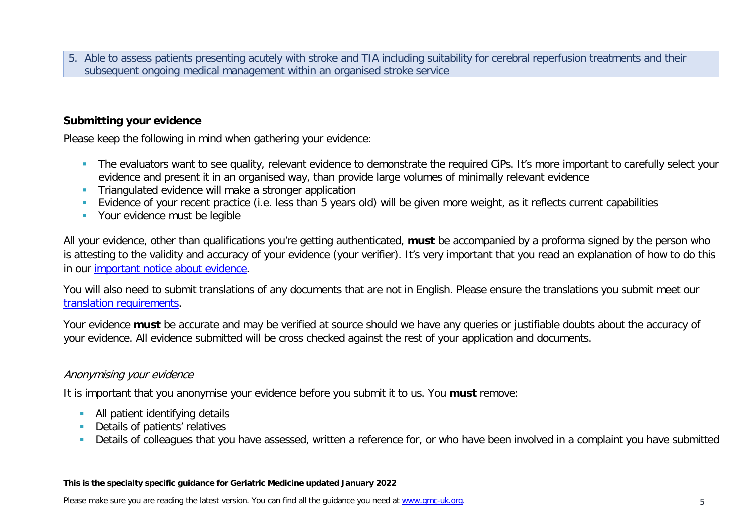5. Able to assess patients presenting acutely with stroke and TIA including suitability for cerebral reperfusion treatments and their subsequent ongoing medical management within an organised stroke service

#### **Submitting your evidence**

Please keep the following in mind when gathering your evidence:

- The evaluators want to see quality, relevant evidence to demonstrate the required CiPs. It's more important to carefully select your evidence and present it in an organised way, than provide large volumes of minimally relevant evidence
- **Triangulated evidence will make a stronger application**
- Evidence of your recent practice (i.e. less than 5 years old) will be given more weight, as it reflects current capabilities
- **•** Your evidence must be legible

All your evidence, other than qualifications you're getting authenticated, **must** be accompanied by a proforma signed by the person who is attesting to the validity and accuracy of your evidence (your verifier). It's very important that you read an explanation of how to do this in our [important notice about evidence.](http://www.gmc-uk.org/doctors/evidence_notice.asp)

You will also need to submit translations of any documents that are not in English. Please ensure the translations you submit meet our [translation requirements.](http://www.gmc-uk.org/doctors/translations.asp)

Your evidence **must** be accurate and may be verified at source should we have any queries or justifiable doubts about the accuracy of your evidence. All evidence submitted will be cross checked against the rest of your application and documents.

#### Anonymising your evidence

It is important that you anonymise your evidence before you submit it to us. You **must** remove:

- **All patient identifying details**
- **Details of patients' relatives**
- Details of colleagues that you have assessed, written a reference for, or who have been involved in a complaint you have submitted

#### **This is the specialty specific guidance for Geriatric Medicine updated January 2022**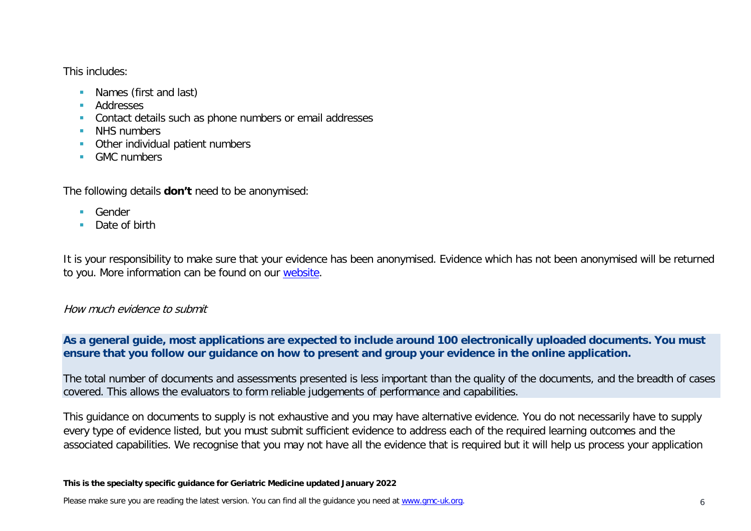This includes:

- **Names (first and last)**
- **Addresses**
- **Contact details such as phone numbers or email addresses**
- NHS numbers
- **•** Other individual patient numbers
- **GMC** numbers

The following details **don't** need to be anonymised:

- Gender
- Date of birth

It is your responsibility to make sure that your evidence has been anonymised. Evidence which has not been anonymised will be returned to you. More information can be found on our [website.](https://www.gmc-uk.org/registration-and-licensing/join-the-register/registration-applications/cesr-cegpr-application-process/anonymisation)

#### How much evidence to submit

**As a general guide, most applications are expected to include around 100 electronically uploaded documents. You must ensure that you follow our guidance on how to present and group your evidence in the online application.**

The total number of documents and assessments presented is less important than the quality of the documents, and the breadth of cases covered. This allows the evaluators to form reliable judgements of performance and capabilities.

This guidance on documents to supply is not exhaustive and you may have alternative evidence. You do not necessarily have to supply every type of evidence listed, but you must submit sufficient evidence to address each of the required learning outcomes and the associated capabilities. We recognise that you may not have all the evidence that is required but it will help us process your application

#### **This is the specialty specific guidance for Geriatric Medicine updated January 2022**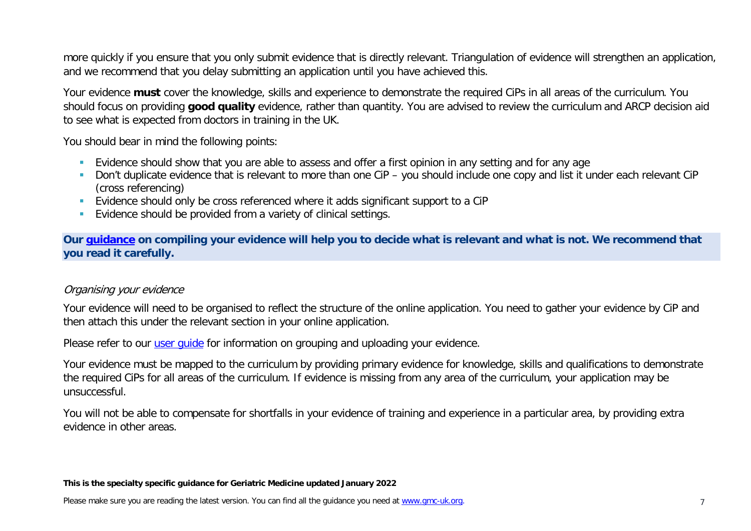more quickly if you ensure that you only submit evidence that is directly relevant. Triangulation of evidence will strengthen an application, and we recommend that you delay submitting an application until you have achieved this.

Your evidence **must** cover the knowledge, skills and experience to demonstrate the required CiPs in all areas of the curriculum. You should focus on providing **good quality** evidence, rather than quantity. You are advised to review the curriculum and ARCP decision aid to see what is expected from doctors in training in the UK.

You should bear in mind the following points:

- **Evidence should show that you are able to assess and offer a first opinion in any setting and for any age**
- Don't duplicate evidence that is relevant to more than one CiP you should include one copy and list it under each relevant CiP (cross referencing)
- Evidence should only be cross referenced where it adds significant support to a CiP
- **Evidence should be provided from a variety of clinical settings.**

**Our [guidance](https://www.gmc-uk.org/-/media/documents/sat---cesr-cegpr-online-application---user-guide---dc11550_pdf-76194730.pdf) on compiling your evidence will help you to decide what is relevant and what is not. We recommend that you read it carefully.**

#### Organising your evidence

Your evidence will need to be organised to reflect the structure of the online application. You need to gather your evidence by CiP and then attach this under the relevant section in your online application.

Please refer to our user quide for information on grouping and uploading your evidence.

Your evidence must be mapped to the curriculum by providing primary evidence for knowledge, skills and qualifications to demonstrate the required CiPs for all areas of the curriculum. If evidence is missing from any area of the curriculum, your application may be unsuccessful.

You will not be able to compensate for shortfalls in your evidence of training and experience in a particular area, by providing extra evidence in other areas.

#### **This is the specialty specific guidance for Geriatric Medicine updated January 2022**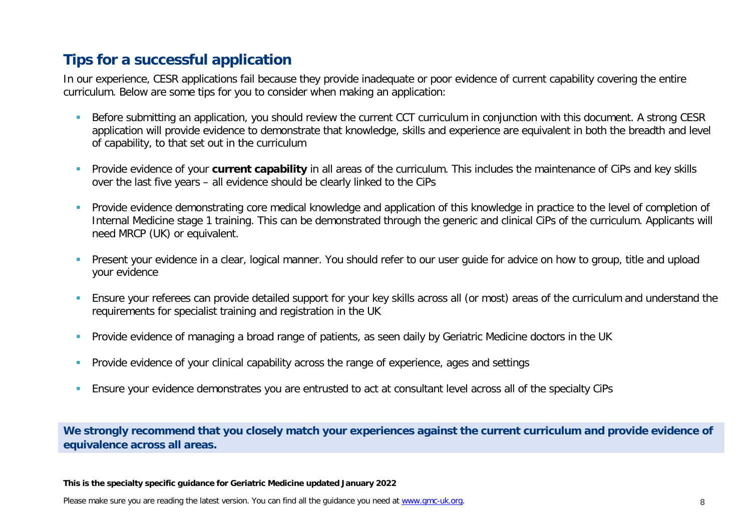# **Tips for a successful application**

In our experience, CESR applications fail because they provide inadequate or poor evidence of current capability covering the entire curriculum. Below are some tips for you to consider when making an application:

- Before submitting an application, you should review the current CCT curriculum in conjunction with this document. A strong CESR application will provide evidence to demonstrate that knowledge, skills and experience are equivalent in both the breadth and level of capability, to that set out in the curriculum
- **Provide evidence of your current capability** in all areas of the curriculum. This includes the maintenance of CiPs and key skills over the last five years – all evidence should be clearly linked to the CiPs
- **Provide evidence demonstrating core medical knowledge and application of this knowledge in practice to the level of completion of example in practice to the level of completion of** Internal Medicine stage 1 training. This can be demonstrated through the generic and clinical CiPs of the curriculum. Applicants will need MRCP (UK) or equivalent.
- Present your evidence in a clear, logical manner. You should refer to our user guide for advice on how to group, title and upload your evidence
- Ensure your referees can provide detailed support for your key skills across all (or most) areas of the curriculum and understand the requirements for specialist training and registration in the UK
- **Provide evidence of managing a broad range of patients, as seen daily by Geriatric Medicine doctors in the UK**
- **Provide evidence of your clinical capability across the range of experience, ages and settings**
- **Ensure your evidence demonstrates you are entrusted to act at consultant level across all of the specialty CiPs**

**We strongly recommend that you closely match your experiences against the current curriculum and provide evidence of equivalence across all areas.** 

**This is the specialty specific guidance for Geriatric Medicine updated January 2022**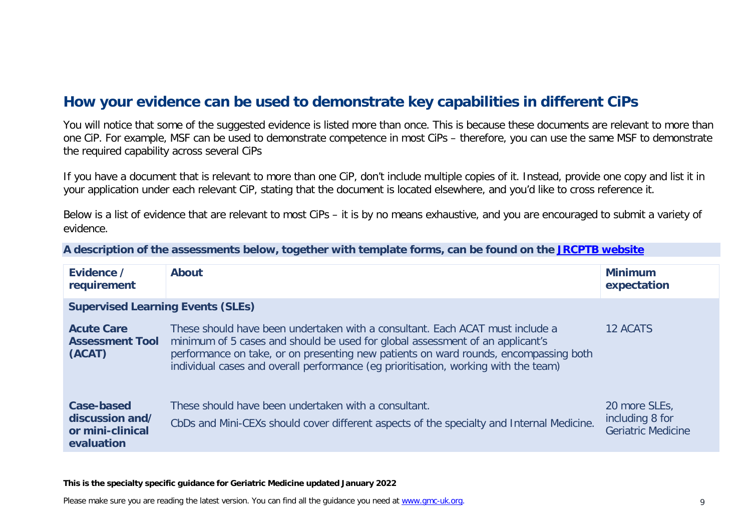# **How your evidence can be used to demonstrate key capabilities in different CiPs**

You will notice that some of the suggested evidence is listed more than once. This is because these documents are relevant to more than one CiP. For example, MSF can be used to demonstrate competence in most CiPs – therefore, you can use the same MSF to demonstrate the required capability across several CiPs

If you have a document that is relevant to more than one CiP, don't include multiple copies of it. Instead, provide one copy and list it in your application under each relevant CiP, stating that the document is located elsewhere, and you'd like to cross reference it.

Below is a list of evidence that are relevant to most CiPs – it is by no means exhaustive, and you are encouraged to submit a variety of evidence.

| A description of the assessments below, together with template forms, can be found on the JRCPTB website |  |  |
|----------------------------------------------------------------------------------------------------------|--|--|
|----------------------------------------------------------------------------------------------------------|--|--|

| Evidence /<br>requirement                                       | <b>About</b>                                                                                                                                                                                                                                                                                                                                  | <b>Minimum</b><br>expectation                                 |  |
|-----------------------------------------------------------------|-----------------------------------------------------------------------------------------------------------------------------------------------------------------------------------------------------------------------------------------------------------------------------------------------------------------------------------------------|---------------------------------------------------------------|--|
| <b>Supervised Learning Events (SLEs)</b>                        |                                                                                                                                                                                                                                                                                                                                               |                                                               |  |
| <b>Acute Care</b><br><b>Assessment Tool</b><br>(ACAT)           | These should have been undertaken with a consultant. Each ACAT must include a<br>minimum of 5 cases and should be used for global assessment of an applicant's<br>performance on take, or on presenting new patients on ward rounds, encompassing both<br>individual cases and overall performance (eg prioritisation, working with the team) | 12 ACATS                                                      |  |
| Case-based<br>discussion and/<br>or mini-clinical<br>evaluation | These should have been undertaken with a consultant.<br>CbDs and Mini-CEXs should cover different aspects of the specialty and Internal Medicine.                                                                                                                                                                                             | 20 more SLEs,<br>including 8 for<br><b>Geriatric Medicine</b> |  |

#### **This is the specialty specific guidance for Geriatric Medicine updated January 2022**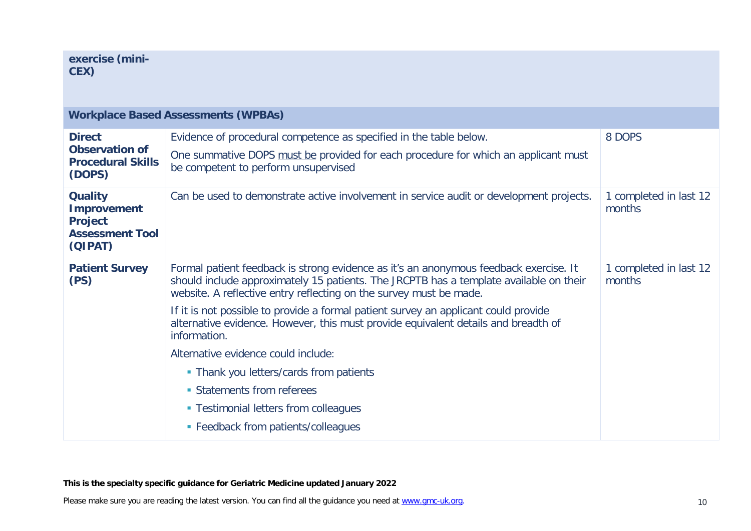| <b>Workplace Based Assessments (WPBAs)</b>                                                  |                                                                                                                                                                                                                                                                                                                                                                                                                                                                                                                                                                                                                                                    |                                  |  |
|---------------------------------------------------------------------------------------------|----------------------------------------------------------------------------------------------------------------------------------------------------------------------------------------------------------------------------------------------------------------------------------------------------------------------------------------------------------------------------------------------------------------------------------------------------------------------------------------------------------------------------------------------------------------------------------------------------------------------------------------------------|----------------------------------|--|
| <b>Direct</b><br><b>Observation of</b><br><b>Procedural Skills</b><br>(DOPS)                | Evidence of procedural competence as specified in the table below.<br>One summative DOPS must be provided for each procedure for which an applicant must<br>be competent to perform unsupervised                                                                                                                                                                                                                                                                                                                                                                                                                                                   | 8 DOPS                           |  |
| <b>Quality</b><br><b>Improvement</b><br><b>Project</b><br><b>Assessment Tool</b><br>(QIPAT) | Can be used to demonstrate active involvement in service audit or development projects.                                                                                                                                                                                                                                                                                                                                                                                                                                                                                                                                                            | 1 completed in last 12<br>months |  |
| <b>Patient Survey</b><br>(PS)                                                               | Formal patient feedback is strong evidence as it's an anonymous feedback exercise. It<br>should include approximately 15 patients. The JRCPTB has a template available on their<br>website. A reflective entry reflecting on the survey must be made.<br>If it is not possible to provide a formal patient survey an applicant could provide<br>alternative evidence. However, this must provide equivalent details and breadth of<br>information.<br>Alternative evidence could include:<br>• Thank you letters/cards from patients<br>• Statements from referees<br>• Testimonial letters from colleagues<br>• Feedback from patients/colleagues | 1 completed in last 12<br>months |  |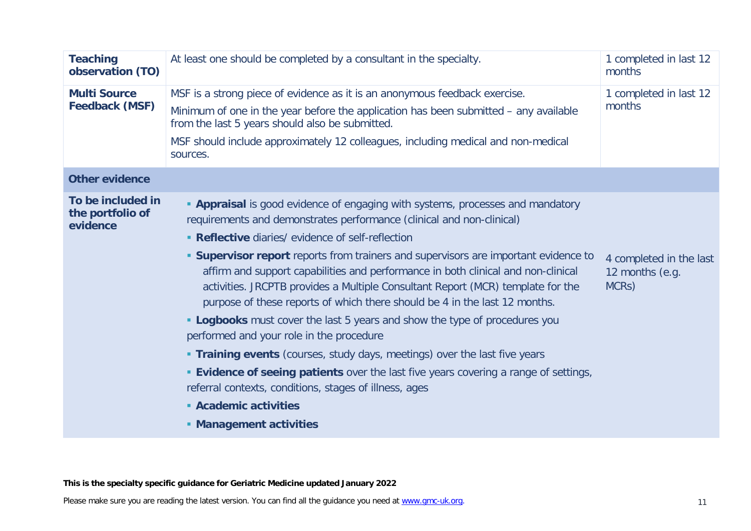| <b>Teaching</b><br>observation (TO)               | At least one should be completed by a consultant in the specialty.                                                                                                                                                                                                                                                                                                                                                                                                                                                                                                                                                                                                                                                                                                                                                                                                                                                                                                                                   | 1 completed in last 12<br>months                                 |
|---------------------------------------------------|------------------------------------------------------------------------------------------------------------------------------------------------------------------------------------------------------------------------------------------------------------------------------------------------------------------------------------------------------------------------------------------------------------------------------------------------------------------------------------------------------------------------------------------------------------------------------------------------------------------------------------------------------------------------------------------------------------------------------------------------------------------------------------------------------------------------------------------------------------------------------------------------------------------------------------------------------------------------------------------------------|------------------------------------------------------------------|
| <b>Multi Source</b><br><b>Feedback (MSF)</b>      | MSF is a strong piece of evidence as it is an anonymous feedback exercise.<br>Minimum of one in the year before the application has been submitted - any available<br>from the last 5 years should also be submitted.<br>MSF should include approximately 12 colleagues, including medical and non-medical<br>sources.                                                                                                                                                                                                                                                                                                                                                                                                                                                                                                                                                                                                                                                                               | 1 completed in last 12<br>months                                 |
| <b>Other evidence</b>                             |                                                                                                                                                                                                                                                                                                                                                                                                                                                                                                                                                                                                                                                                                                                                                                                                                                                                                                                                                                                                      |                                                                  |
| To be included in<br>the portfolio of<br>evidence | <b>- Appraisal</b> is good evidence of engaging with systems, processes and mandatory<br>requirements and demonstrates performance (clinical and non-clinical)<br>• Reflective diaries/ evidence of self-reflection<br><b>Supervisor report</b> reports from trainers and supervisors are important evidence to<br>affirm and support capabilities and performance in both clinical and non-clinical<br>activities. JRCPTB provides a Multiple Consultant Report (MCR) template for the<br>purpose of these reports of which there should be 4 in the last 12 months.<br><b>- Logbooks</b> must cover the last 5 years and show the type of procedures you<br>performed and your role in the procedure<br><b>Training events</b> (courses, study days, meetings) over the last five years<br><b>Evidence of seeing patients</b> over the last five years covering a range of settings,<br>referral contexts, conditions, stages of illness, ages<br>• Academic activities<br>• Management activities | 4 completed in the last<br>12 months (e.g.<br>MCR <sub>S</sub> ) |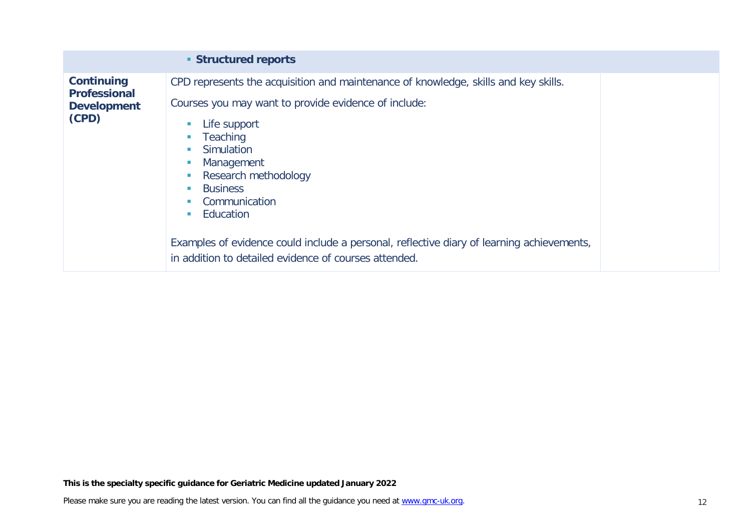|                                                                         | <b>Structured reports</b>                                                                                                                                                                                                                                                                                                                                                                                                                                           |
|-------------------------------------------------------------------------|---------------------------------------------------------------------------------------------------------------------------------------------------------------------------------------------------------------------------------------------------------------------------------------------------------------------------------------------------------------------------------------------------------------------------------------------------------------------|
| <b>Continuing</b><br><b>Professional</b><br><b>Development</b><br>(CPD) | CPD represents the acquisition and maintenance of knowledge, skills and key skills.<br>Courses you may want to provide evidence of include:<br>Life support<br><b>Teaching</b><br>Simulation<br><b>In</b><br>Management<br>Research methodology<br><b>Business</b><br><b>In</b><br>Communication<br>Education<br>Examples of evidence could include a personal, reflective diary of learning achievements,<br>in addition to detailed evidence of courses attended. |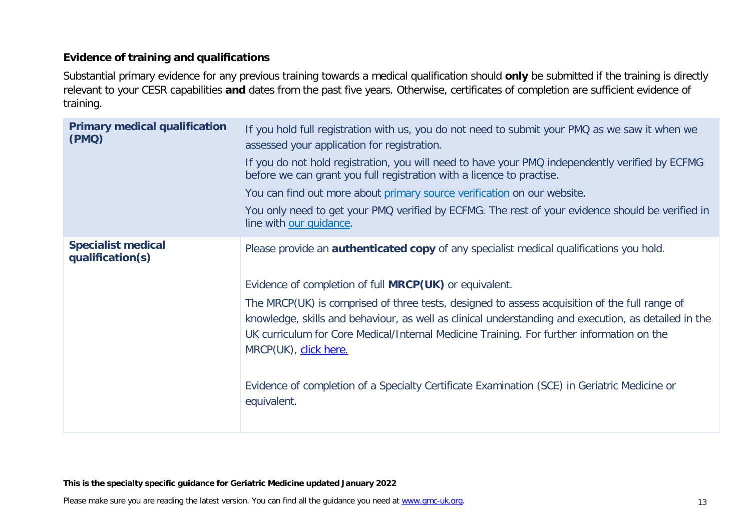#### **Evidence of training and qualifications**

Substantial primary evidence for any previous training towards a medical qualification should **only** be submitted if the training is directly relevant to your CESR capabilities **and** dates from the past five years. Otherwise, certificates of completion are sufficient evidence of training.

| <b>Primary medical qualification</b><br>(PMQ) | If you hold full registration with us, you do not need to submit your PMQ as we saw it when we<br>assessed your application for registration.<br>If you do not hold registration, you will need to have your PMQ independently verified by ECFMG<br>before we can grant you full registration with a licence to practise.<br>You can find out more about primary source verification on our website.<br>You only need to get your PMQ verified by ECFMG. The rest of your evidence should be verified in<br>line with our guidance.                                                                           |
|-----------------------------------------------|---------------------------------------------------------------------------------------------------------------------------------------------------------------------------------------------------------------------------------------------------------------------------------------------------------------------------------------------------------------------------------------------------------------------------------------------------------------------------------------------------------------------------------------------------------------------------------------------------------------|
| <b>Specialist medical</b><br>qualification(s) | Please provide an <b>authenticated copy</b> of any specialist medical qualifications you hold.<br>Evidence of completion of full <b>MRCP(UK)</b> or equivalent.<br>The MRCP(UK) is comprised of three tests, designed to assess acquisition of the full range of<br>knowledge, skills and behaviour, as well as clinical understanding and execution, as detailed in the<br>UK curriculum for Core Medical/Internal Medicine Training. For further information on the<br>MRCP(UK), click here.<br>Evidence of completion of a Specialty Certificate Examination (SCE) in Geriatric Medicine or<br>equivalent. |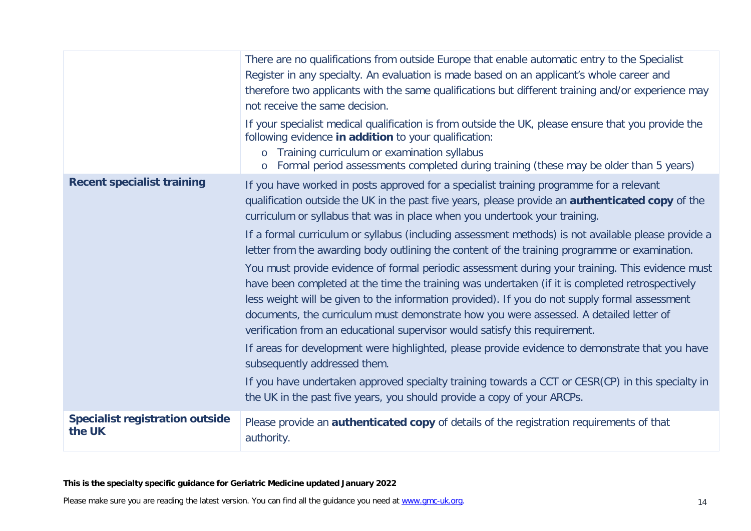|                                                  | There are no qualifications from outside Europe that enable automatic entry to the Specialist<br>Register in any specialty. An evaluation is made based on an applicant's whole career and<br>therefore two applicants with the same qualifications but different training and/or experience may<br>not receive the same decision.                                                                                                                                             |
|--------------------------------------------------|--------------------------------------------------------------------------------------------------------------------------------------------------------------------------------------------------------------------------------------------------------------------------------------------------------------------------------------------------------------------------------------------------------------------------------------------------------------------------------|
|                                                  | If your specialist medical qualification is from outside the UK, please ensure that you provide the<br>following evidence in addition to your qualification:<br>o Training curriculum or examination syllabus<br>o Formal period assessments completed during training (these may be older than 5 years)                                                                                                                                                                       |
| <b>Recent specialist training</b>                | If you have worked in posts approved for a specialist training programme for a relevant<br>qualification outside the UK in the past five years, please provide an <b>authenticated copy</b> of the<br>curriculum or syllabus that was in place when you undertook your training.                                                                                                                                                                                               |
|                                                  | If a formal curriculum or syllabus (including assessment methods) is not available please provide a<br>letter from the awarding body outlining the content of the training programme or examination.                                                                                                                                                                                                                                                                           |
|                                                  | You must provide evidence of formal periodic assessment during your training. This evidence must<br>have been completed at the time the training was undertaken (if it is completed retrospectively<br>less weight will be given to the information provided). If you do not supply formal assessment<br>documents, the curriculum must demonstrate how you were assessed. A detailed letter of<br>verification from an educational supervisor would satisfy this requirement. |
|                                                  | If areas for development were highlighted, please provide evidence to demonstrate that you have<br>subsequently addressed them.                                                                                                                                                                                                                                                                                                                                                |
|                                                  | If you have undertaken approved specialty training towards a CCT or CESR(CP) in this specialty in<br>the UK in the past five years, you should provide a copy of your ARCPs.                                                                                                                                                                                                                                                                                                   |
| <b>Specialist registration outside</b><br>the UK | Please provide an <b>authenticated copy</b> of details of the registration requirements of that<br>authority.                                                                                                                                                                                                                                                                                                                                                                  |

#### **This is the specialty specific guidance for Geriatric Medicine updated January 2022**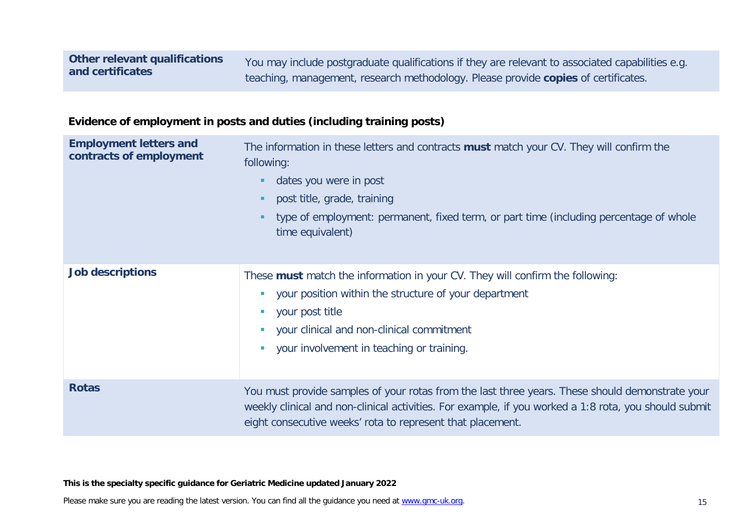You may include postgraduate qualifications if they are relevant to associated capabilities e.g. teaching, management, research methodology. Please provide **copies** of certificates.

#### **Evidence of employment in posts and duties (including training posts)**

| <b>Employment letters and</b><br>contracts of employment | The information in these letters and contracts must match your CV. They will confirm the<br>following:<br>dates you were in post<br>ш<br>post title, grade, training<br>л.<br>type of employment: permanent, fixed term, or part time (including percentage of whole<br>٠<br>time equivalent)                                                                 |
|----------------------------------------------------------|---------------------------------------------------------------------------------------------------------------------------------------------------------------------------------------------------------------------------------------------------------------------------------------------------------------------------------------------------------------|
| <b>Job descriptions</b>                                  | These must match the information in your CV. They will confirm the following:<br>your position within the structure of your department<br>$\mathcal{L}_{\mathcal{A}}$<br>your post title<br>$\mathcal{L}$<br>your clinical and non-clinical commitment<br>$\mathcal{L}_{\rm{eff}}$<br>your involvement in teaching or training.<br>$\mathcal{L}_{\text{max}}$ |
| <b>Rotas</b>                                             | You must provide samples of your rotas from the last three years. These should demonstrate your<br>weekly clinical and non-clinical activities. For example, if you worked a 1:8 rota, you should submit<br>eight consecutive weeks' rota to represent that placement.                                                                                        |

**This is the specialty specific guidance for Geriatric Medicine updated January 2022**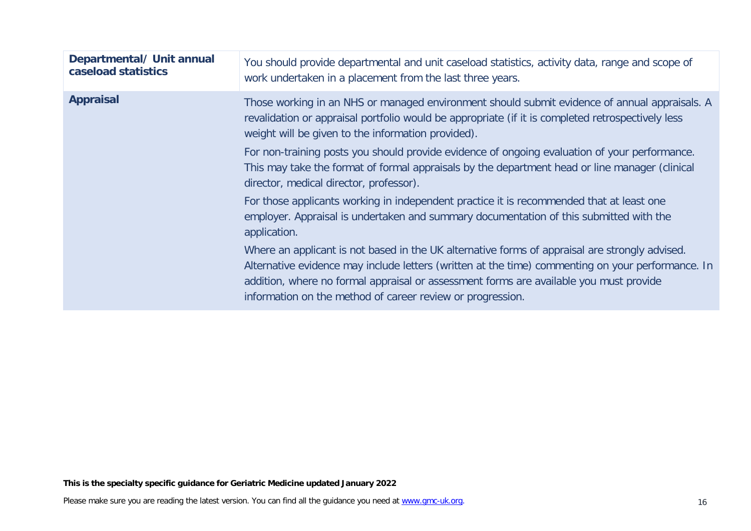| Departmental/ Unit annual<br>caseload statistics | You should provide departmental and unit caseload statistics, activity data, range and scope of<br>work undertaken in a placement from the last three years.                                                                                                                                                                                                |
|--------------------------------------------------|-------------------------------------------------------------------------------------------------------------------------------------------------------------------------------------------------------------------------------------------------------------------------------------------------------------------------------------------------------------|
| <b>Appraisal</b>                                 | Those working in an NHS or managed environment should submit evidence of annual appraisals. A<br>revalidation or appraisal portfolio would be appropriate (if it is completed retrospectively less<br>weight will be given to the information provided).                                                                                                    |
|                                                  | For non-training posts you should provide evidence of ongoing evaluation of your performance.<br>This may take the format of formal appraisals by the department head or line manager (clinical<br>director, medical director, professor).                                                                                                                  |
|                                                  | For those applicants working in independent practice it is recommended that at least one<br>employer. Appraisal is undertaken and summary documentation of this submitted with the<br>application.                                                                                                                                                          |
|                                                  | Where an applicant is not based in the UK alternative forms of appraisal are strongly advised.<br>Alternative evidence may include letters (written at the time) commenting on your performance. In<br>addition, where no formal appraisal or assessment forms are available you must provide<br>information on the method of career review or progression. |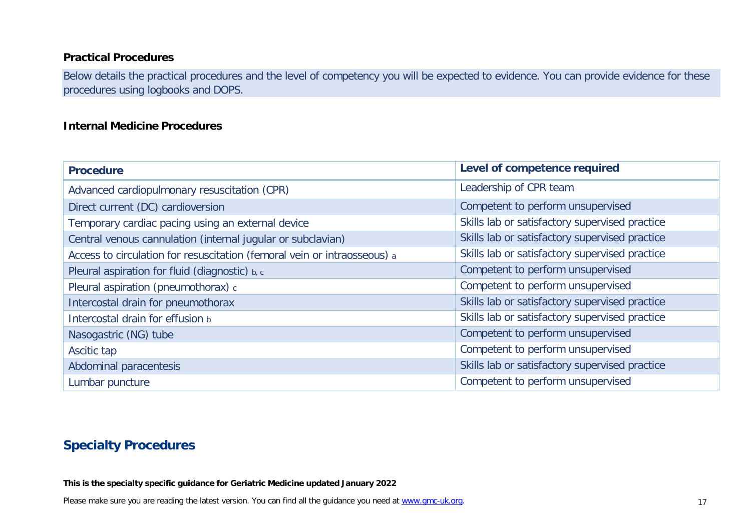#### **Practical Procedures**

Below details the practical procedures and the level of competency you will be expected to evidence. You can provide evidence for these procedures using logbooks and DOPS.

#### **Internal Medicine Procedures**

| <b>Procedure</b>                                                         | Level of competence required                   |
|--------------------------------------------------------------------------|------------------------------------------------|
| Advanced cardiopulmonary resuscitation (CPR)                             | Leadership of CPR team                         |
| Direct current (DC) cardioversion                                        | Competent to perform unsupervised              |
| Temporary cardiac pacing using an external device                        | Skills lab or satisfactory supervised practice |
| Central venous cannulation (internal jugular or subclavian)              | Skills lab or satisfactory supervised practice |
| Access to circulation for resuscitation (femoral vein or intraosseous) a | Skills lab or satisfactory supervised practice |
| Pleural aspiration for fluid (diagnostic) b, c                           | Competent to perform unsupervised              |
| Pleural aspiration (pneumothorax) c                                      | Competent to perform unsupervised              |
| Intercostal drain for pneumothorax                                       | Skills lab or satisfactory supervised practice |
| Intercostal drain for effusion b                                         | Skills lab or satisfactory supervised practice |
| Nasogastric (NG) tube                                                    | Competent to perform unsupervised              |
| Ascitic tap                                                              | Competent to perform unsupervised              |
| Abdominal paracentesis                                                   | Skills lab or satisfactory supervised practice |
| Lumbar puncture                                                          | Competent to perform unsupervised              |

# **Specialty Procedures**

**This is the specialty specific guidance for Geriatric Medicine updated January 2022**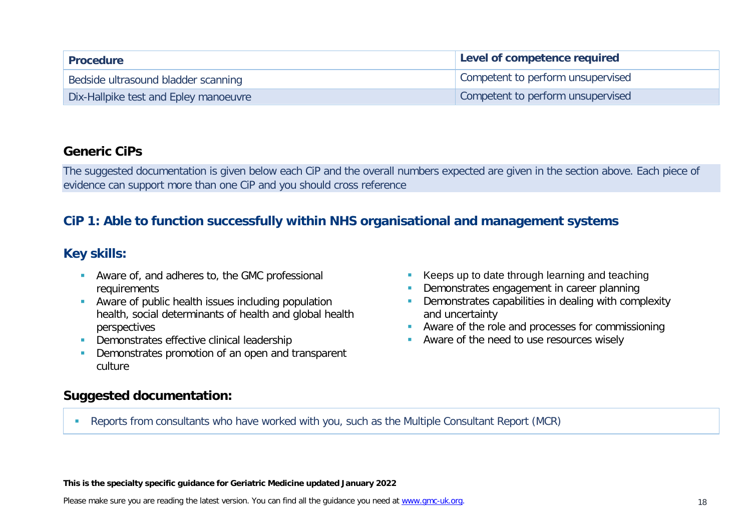| <b>Procedure</b>                      | Level of competence required      |
|---------------------------------------|-----------------------------------|
| Bedside ultrasound bladder scanning   | Competent to perform unsupervised |
| Dix-Hallpike test and Epley manoeuvre | Competent to perform unsupervised |

#### **Generic CiPs**

The suggested documentation is given below each CiP and the overall numbers expected are given in the section above. Each piece of evidence can support more than one CiP and you should cross reference

# **CiP 1: Able to function successfully within NHS organisational and management systems**

# **Key skills:**

- Aware of, and adheres to, the GMC professional requirements
- **Aware of public health issues including population** health, social determinants of health and global health perspectives
- Demonstrates effective clinical leadership
- Demonstrates promotion of an open and transparent culture
- Keeps up to date through learning and teaching
- Demonstrates engagement in career planning
- Demonstrates capabilities in dealing with complexity and uncertainty
- **Aware of the role and processes for commissioning**
- **Aware of the need to use resources wisely**

### **Suggested documentation:**

Reports from consultants who have worked with you, such as the Multiple Consultant Report (MCR)

**This is the specialty specific guidance for Geriatric Medicine updated January 2022**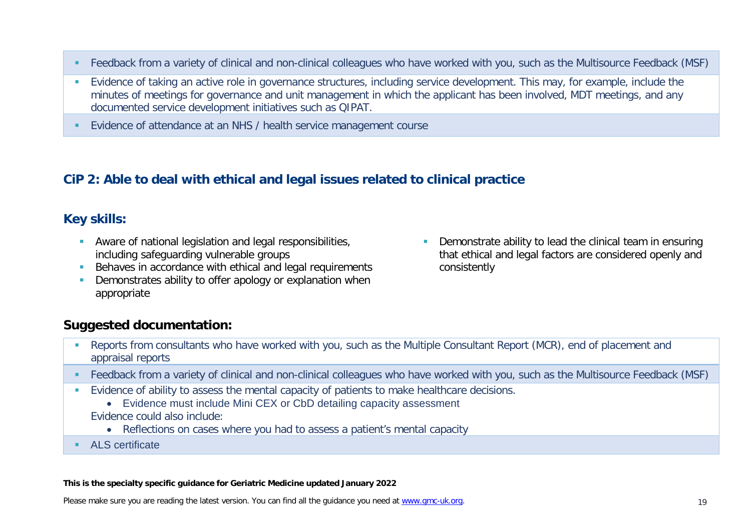- Feedback from a variety of clinical and non-clinical colleagues who have worked with you, such as the Multisource Feedback (MSF)
- **Evidence of taking an active role in governance structures, including service development. This may, for example, include the** minutes of meetings for governance and unit management in which the applicant has been involved, MDT meetings, and any documented service development initiatives such as QIPAT.
- Evidence of attendance at an NHS / health service management course

# **CiP 2: Able to deal with ethical and legal issues related to clinical practice**

### **Key skills:**

- Aware of national legislation and legal responsibilities, including safeguarding vulnerable groups
- Behaves in accordance with ethical and legal requirements
- **•** Demonstrates ability to offer apology or explanation when appropriate
- **Demonstrate ability to lead the clinical team in ensuring** that ethical and legal factors are considered openly and consistently

### **Suggested documentation:**

- Reports from consultants who have worked with you, such as the Multiple Consultant Report (MCR), end of placement and appraisal reports
- Feedback from a variety of clinical and non-clinical colleagues who have worked with you, such as the Multisource Feedback (MSF)
- **Evidence of ability to assess the mental capacity of patients to make healthcare decisions.** 
	- Evidence must include Mini CEX or CbD detailing capacity assessment Evidence could also include:
		- Reflections on cases where you had to assess a patient's mental capacity
- ALS certificate

#### **This is the specialty specific guidance for Geriatric Medicine updated January 2022**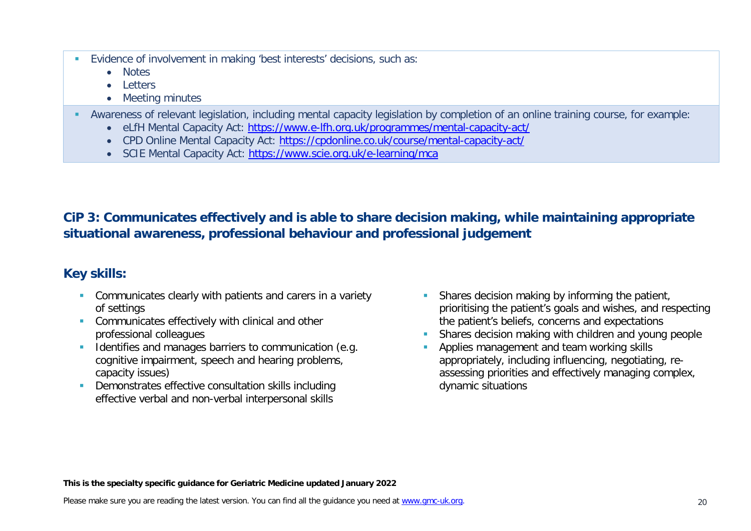- Evidence of involvement in making 'best interests' decisions, such as:
	- Notes
	- Letters
	- Meeting minutes
- Awareness of relevant legislation, including mental capacity legislation by completion of an online training course, for example:
	- eLfH Mental Capacity Act:<https://www.e-lfh.org.uk/programmes/mental-capacity-act/>
	- CPD Online Mental Capacity Act:<https://cpdonline.co.uk/course/mental-capacity-act/>
	- SCIE Mental Capacity Act:<https://www.scie.org.uk/e-learning/mca>

# **CiP 3: Communicates effectively and is able to share decision making, while maintaining appropriate situational awareness, professional behaviour and professional judgement**

# **Key skills:**

- **Communicates clearly with patients and carers in a variety** of settings
- **Communicates effectively with clinical and other** professional colleagues
- Identifies and manages barriers to communication (e.g. cognitive impairment, speech and hearing problems, capacity issues)
- Demonstrates effective consultation skills including effective verbal and non-verbal interpersonal skills
- **Shares decision making by informing the patient,** prioritising the patient's goals and wishes, and respecting the patient's beliefs, concerns and expectations
- Shares decision making with children and young people
- Applies management and team working skills appropriately, including influencing, negotiating, reassessing priorities and effectively managing complex, dynamic situations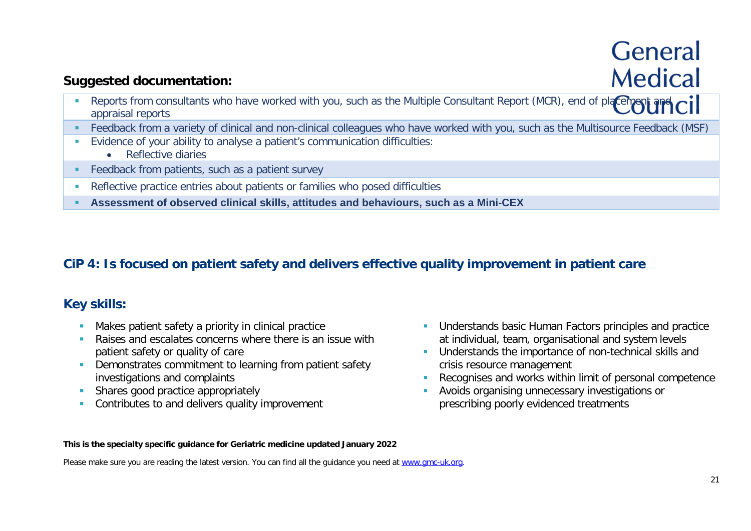# **General Medical**

# **Suggested documentation:**

- Reports from consultants who have worked with you, such as the Multiple Consultant Report (MCR), end of placement and  $\overline{C}$ appraisal reports
- Feedback from a variety of clinical and non-clinical colleagues who have worked with you, such as the Multisource Feedback (MSF)
- Evidence of your ability to analyse a patient's communication difficulties:
	- Reflective diaries
- **Feedback from patients, such as a patient survey**
- Reflective practice entries about patients or families who posed difficulties
- **Assessment of observed clinical skills, attitudes and behaviours, such as a Mini-CEX**

# **CiP 4: Is focused on patient safety and delivers effective quality improvement in patient care**

# **Key skills:**

- **Makes patient safety a priority in clinical practice**
- **Raises and escalates concerns where there is an issue with** patient safety or quality of care
- **•** Demonstrates commitment to learning from patient safety investigations and complaints
- Shares good practice appropriately
- **Contributes to and delivers quality improvement**
- **Understands basic Human Factors principles and practice** at individual, team, organisational and system levels
- **Understands the importance of non-technical skills and** crisis resource management
- Recognises and works within limit of personal competence
- **Avoids organising unnecessary investigations or** prescribing poorly evidenced treatments

#### **This is the specialty specific guidance for Geriatric medicine updated January 2022**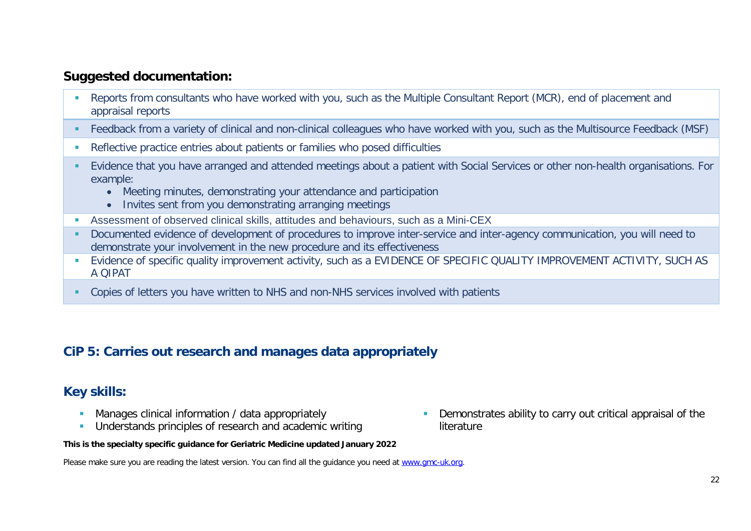- Reports from consultants who have worked with you, such as the Multiple Consultant Report (MCR), end of placement and appraisal reports
- Feedback from a variety of clinical and non-clinical colleagues who have worked with you, such as the Multisource Feedback (MSF)
- Reflective practice entries about patients or families who posed difficulties
- Evidence that you have arranged and attended meetings about a patient with Social Services or other non-health organisations. For example:
	- Meeting minutes, demonstrating your attendance and participation
	- Invites sent from you demonstrating arranging meetings
- Assessment of observed clinical skills, attitudes and behaviours, such as a Mini-CEX
- Documented evidence of development of procedures to improve inter-service and inter-agency communication, you will need to demonstrate your involvement in the new procedure and its effectiveness
- **E** Evidence of specific quality improvement activity, such as a EVIDENCE OF SPECIFIC QUALITY IMPROVEMENT ACTIVITY, SUCH AS A QIPAT
- Copies of letters you have written to NHS and non-NHS services involved with patients

### **CiP 5: Carries out research and manages data appropriately**

### **Key skills:**

- **Manages clinical information / data appropriately**
- Understands principles of research and academic writing

 Demonstrates ability to carry out critical appraisal of the literature

#### **This is the specialty specific guidance for Geriatric Medicine updated January 2022**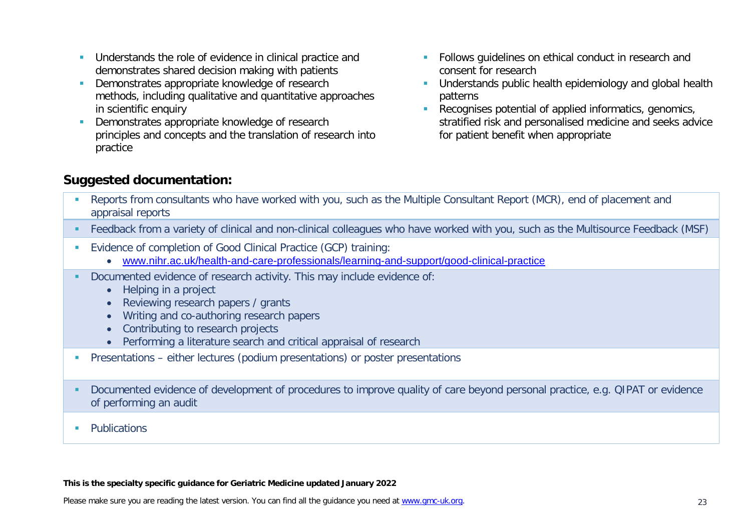- **Understands the role of evidence in clinical practice and** demonstrates shared decision making with patients
- Demonstrates appropriate knowledge of research methods, including qualitative and quantitative approaches in scientific enquiry
- Demonstrates appropriate knowledge of research principles and concepts and the translation of research into practice
- **Follows quidelines on ethical conduct in research and** consent for research
- **Understands public health epidemiology and global health** patterns
- Recognises potential of applied informatics, genomics, stratified risk and personalised medicine and seeks advice for patient benefit when appropriate

- Reports from consultants who have worked with you, such as the Multiple Consultant Report (MCR), end of placement and appraisal reports
- Feedback from a variety of clinical and non-clinical colleagues who have worked with you, such as the Multisource Feedback (MSF)
- Evidence of completion of Good Clinical Practice (GCP) training:
	- [www.nihr.ac.uk/health-and-care-professionals/learning-and-support/good-clinical-practice](https://www.nihr.ac.uk/health-and-care-professionals/learning-and-support/good-clinical-practice.htm)
- Documented evidence of research activity. This may include evidence of:
	- Helping in a project
	- Reviewing research papers / grants
	- Writing and co-authoring research papers
	- Contributing to research projects
	- Performing a literature search and critical appraisal of research
- **Presentations either lectures (podium presentations) or poster presentations**
- Documented evidence of development of procedures to improve quality of care beyond personal practice, e.g. QIPAT or evidence of performing an audit
- **Publications**

#### **This is the specialty specific guidance for Geriatric Medicine updated January 2022**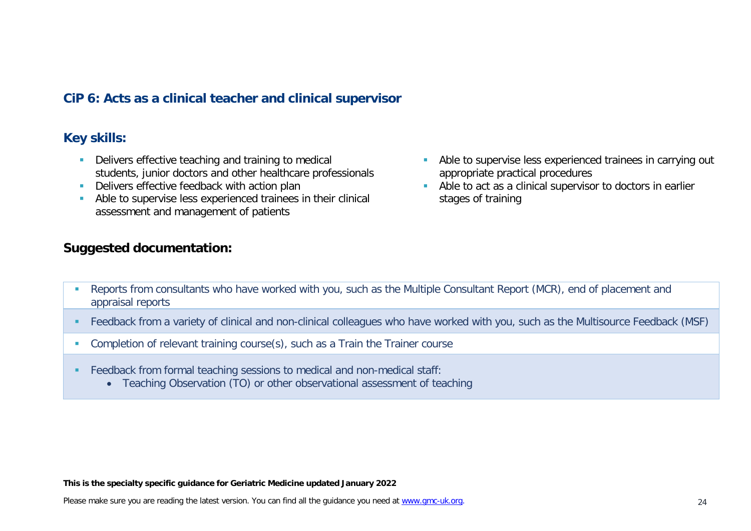### **CiP 6: Acts as a clinical teacher and clinical supervisor**

#### **Key skills:**

- Delivers effective teaching and training to medical students, junior doctors and other healthcare professionals
- Delivers effective feedback with action plan
- Able to supervise less experienced trainees in their clinical assessment and management of patients

#### **Suggested documentation:**

- Able to supervise less experienced trainees in carrying out appropriate practical procedures
- Able to act as a clinical supervisor to doctors in earlier stages of training

- Reports from consultants who have worked with you, such as the Multiple Consultant Report (MCR), end of placement and appraisal reports
- Feedback from a variety of clinical and non-clinical colleagues who have worked with you, such as the Multisource Feedback (MSF)
- **Completion of relevant training course(s), such as a Train the Trainer course**
- Feedback from formal teaching sessions to medical and non-medical staff:
	- Teaching Observation (TO) or other observational assessment of teaching

**This is the specialty specific guidance for Geriatric Medicine updated January 2022**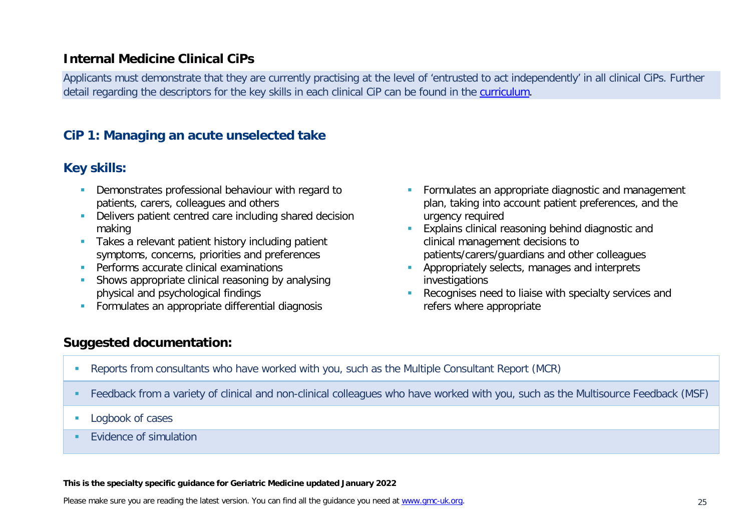### **Internal Medicine Clinical CiPs**

Applicants must demonstrate that they are currently practising at the level of 'entrusted to act independently' in all clinical CiPs. Further detail regarding the descriptors for the key skills in each clinical CiP can be found in the [curriculum.](https://www.gmc-uk.org/education/standards-guidance-and-curricula/curricula#T)

### **CiP 1: Managing an acute unselected take**

### **Key skills:**

- Demonstrates professional behaviour with regard to patients, carers, colleagues and others
- Delivers patient centred care including shared decision making
- **Takes a relevant patient history including patient** symptoms, concerns, priorities and preferences
- **Performs accurate clinical examinations**
- **Shows appropriate clinical reasoning by analysing** physical and psychological findings
- **Formulates an appropriate differential diagnosis**
- **Formulates an appropriate diagnostic and management** plan, taking into account patient preferences, and the urgency required
- **Explains clinical reasoning behind diagnostic and** clinical management decisions to patients/carers/guardians and other colleagues
- **Appropriately selects, manages and interprets** investigations
- **Recognises need to liaise with specialty services and** refers where appropriate

# **Suggested documentation:**

- Reports from consultants who have worked with you, such as the Multiple Consultant Report (MCR)
- Feedback from a variety of clinical and non-clinical colleagues who have worked with you, such as the Multisource Feedback (MSF)
- **Logbook of cases**
- **EVidence of simulation**

#### **This is the specialty specific guidance for Geriatric Medicine updated January 2022**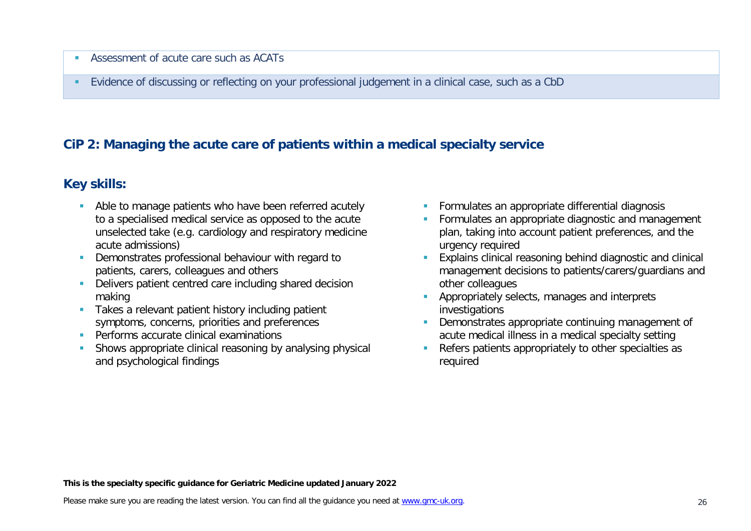- Assessment of acute care such as ACATs
- Evidence of discussing or reflecting on your professional judgement in a clinical case, such as a CbD

# **CiP 2: Managing the acute care of patients within a medical specialty service**

# **Key skills:**

- Able to manage patients who have been referred acutely to a specialised medical service as opposed to the acute unselected take (e.g. cardiology and respiratory medicine acute admissions)
- **Demonstrates professional behaviour with regard to** patients, carers, colleagues and others
- Delivers patient centred care including shared decision making
- Takes a relevant patient history including patient symptoms, concerns, priorities and preferences
- **Performs accurate clinical examinations**
- **Shows appropriate clinical reasoning by analysing physical** and psychological findings
- **Formulates an appropriate differential diagnosis**
- **Formulates an appropriate diagnostic and management** plan, taking into account patient preferences, and the urgency required
- **Explains clinical reasoning behind diagnostic and clinical** management decisions to patients/carers/guardians and other colleagues
- **Appropriately selects, manages and interprets** investigations
- Demonstrates appropriate continuing management of acute medical illness in a medical specialty setting
- Refers patients appropriately to other specialties as required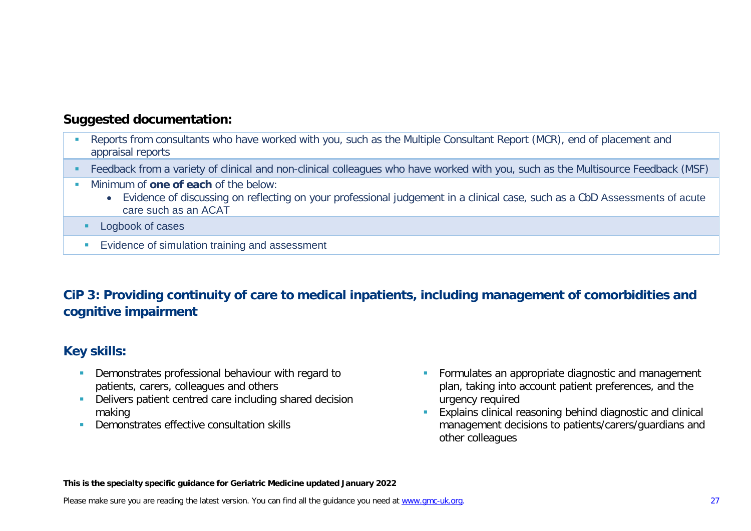- **Reports from consultants who have worked with you, such as the Multiple Consultant Report (MCR), end of placement and** appraisal reports
- Feedback from a variety of clinical and non-clinical colleagues who have worked with you, such as the Multisource Feedback (MSF)
- **Minimum of one of each of the below:** 
	- Evidence of discussing on reflecting on your professional judgement in a clinical case, such as a CbD Assessments of acute care such as an ACAT
	- **Logbook of cases**
	- **Evidence of simulation training and assessment**

# **CiP 3: Providing continuity of care to medical inpatients, including management of comorbidities and cognitive impairment**

# **Key skills:**

- Demonstrates professional behaviour with regard to patients, carers, colleagues and others
- Delivers patient centred care including shared decision making
- **Demonstrates effective consultation skills**
- **Formulates an appropriate diagnostic and management** plan, taking into account patient preferences, and the urgency required
- **Explains clinical reasoning behind diagnostic and clinical** management decisions to patients/carers/guardians and other colleagues

**This is the specialty specific guidance for Geriatric Medicine updated January 2022**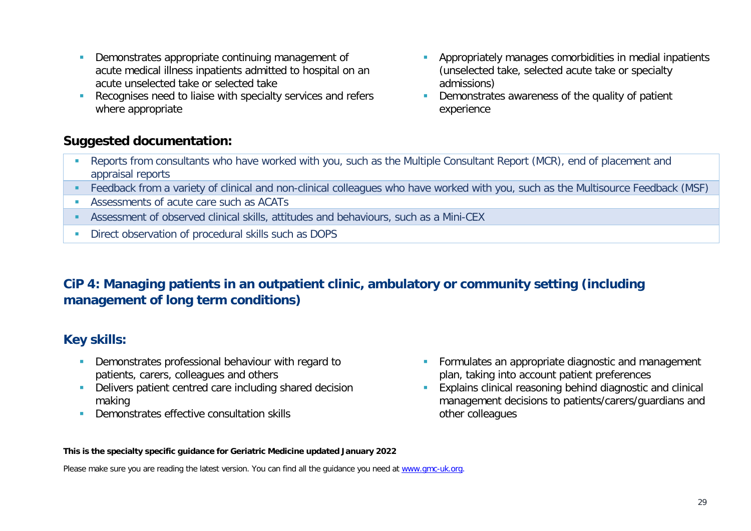- **Demonstrates appropriate continuing management of** acute medical illness inpatients admitted to hospital on an acute unselected take or selected take
- Recognises need to liaise with specialty services and refers where appropriate
- **Appropriately manages comorbidities in medial inpatients** (unselected take, selected acute take or specialty admissions)
- Demonstrates awareness of the quality of patient experience

- Reports from consultants who have worked with you, such as the Multiple Consultant Report (MCR), end of placement and appraisal reports
- Feedback from a variety of clinical and non-clinical colleagues who have worked with you, such as the Multisource Feedback (MSF)
- Assessments of acute care such as ACATs
- Assessment of observed clinical skills, attitudes and behaviours, such as a Mini-CEX
- **Direct observation of procedural skills such as DOPS**

# **CiP 4: Managing patients in an outpatient clinic, ambulatory or community setting (including management of long term conditions)**

### **Key skills:**

- Demonstrates professional behaviour with regard to patients, carers, colleagues and others
- **-** Delivers patient centred care including shared decision making
- **Demonstrates effective consultation skills**
- **Formulates an appropriate diagnostic and management** plan, taking into account patient preferences
- Explains clinical reasoning behind diagnostic and clinical management decisions to patients/carers/guardians and other colleagues

#### **This is the specialty specific guidance for Geriatric Medicine updated January 2022**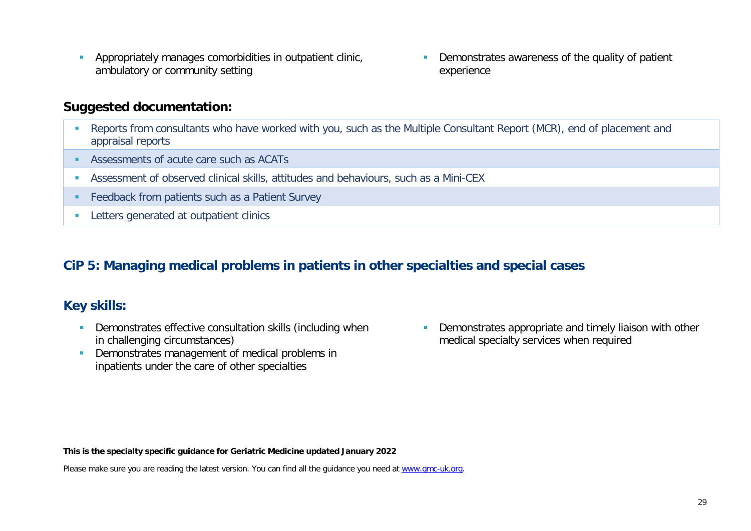Appropriately manages comorbidities in outpatient clinic, ambulatory or community setting

**Demonstrates awareness of the quality of patient** experience

### **Suggested documentation:**

- Reports from consultants who have worked with you, such as the Multiple Consultant Report (MCR), end of placement and appraisal reports
- Assessments of acute care such as ACATs
- Assessment of observed clinical skills, attitudes and behaviours, such as a Mini-CEX
- **Feedback from patients such as a Patient Survey**
- **Letters generated at outpatient clinics**

# **CiP 5: Managing medical problems in patients in other specialties and special cases**

# **Key skills:**

- **Demonstrates effective consultation skills (including when** in challenging circumstances)
- Demonstrates management of medical problems in inpatients under the care of other specialties

**Demonstrates appropriate and timely liaison with other** medical specialty services when required

**This is the specialty specific guidance for Geriatric Medicine updated January 2022**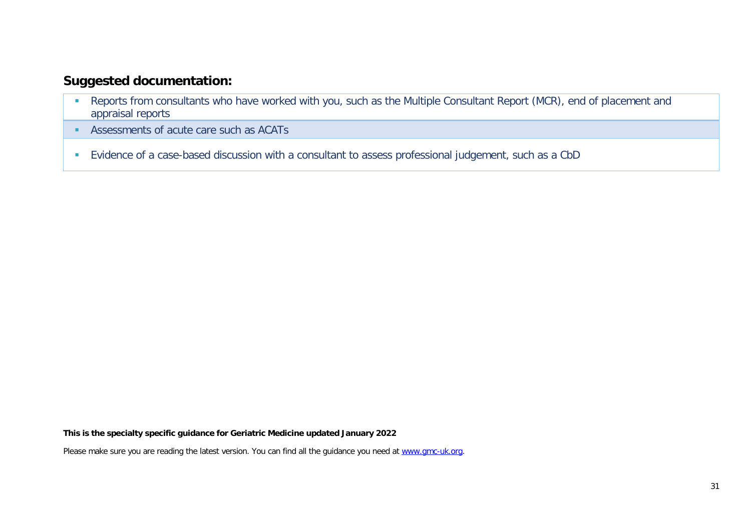- **-** Reports from consultants who have worked with you, such as the Multiple Consultant Report (MCR), end of placement and appraisal reports
- Assessments of acute care such as ACATs
- Evidence of a case-based discussion with a consultant to assess professional judgement, such as a CbD

**This is the specialty specific guidance for Geriatric Medicine updated January 2022**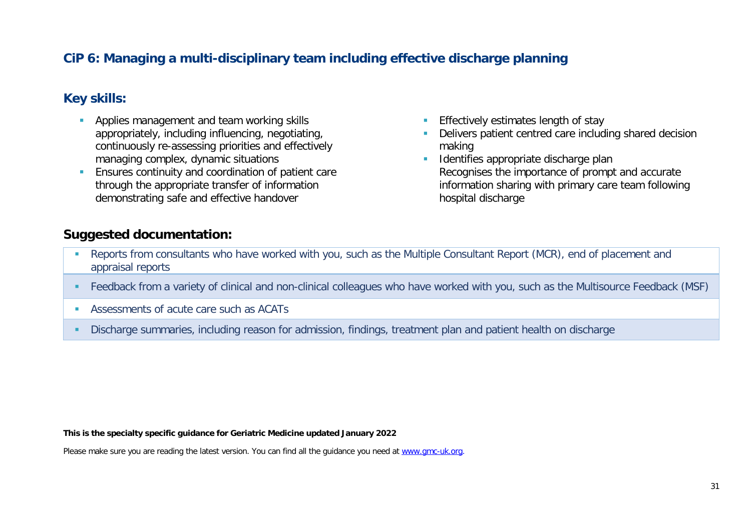# **CiP 6: Managing a multi-disciplinary team including effective discharge planning**

### **Key skills:**

- Applies management and team working skills appropriately, including influencing, negotiating, continuously re-assessing priorities and effectively managing complex, dynamic situations
- **Ensures continuity and coordination of patient care** through the appropriate transfer of information demonstrating safe and effective handover
- Effectively estimates length of stay
- Delivers patient centred care including shared decision making
- **IDENTIFIES appropriate discharge plan** Recognises the importance of prompt and accurate information sharing with primary care team following hospital discharge

### **Suggested documentation:**

- Reports from consultants who have worked with you, such as the Multiple Consultant Report (MCR), end of placement and appraisal reports
- Feedback from a variety of clinical and non-clinical colleagues who have worked with you, such as the Multisource Feedback (MSF)
- Assessments of acute care such as ACATs
- Discharge summaries, including reason for admission, findings, treatment plan and patient health on discharge

**This is the specialty specific guidance for Geriatric Medicine updated January 2022**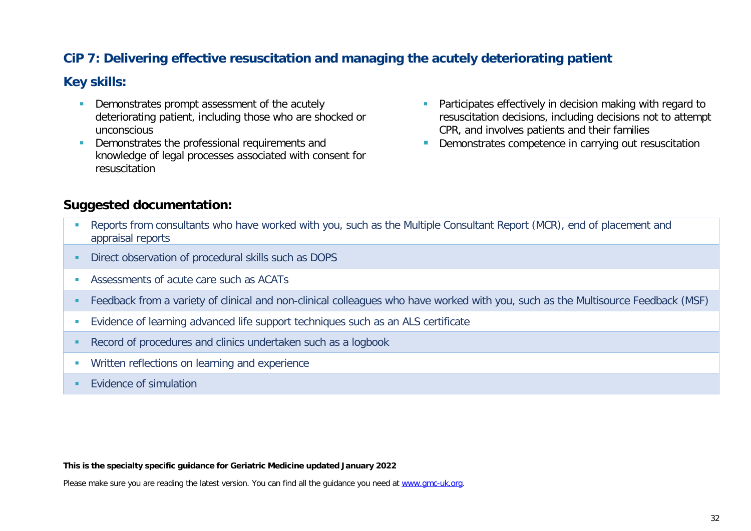# **CiP 7: Delivering effective resuscitation and managing the acutely deteriorating patient**

#### **Key skills:**

- **Demonstrates prompt assessment of the acutely** deteriorating patient, including those who are shocked or unconscious
- Demonstrates the professional requirements and knowledge of legal processes associated with consent for resuscitation
- **Participates effectively in decision making with regard to** resuscitation decisions, including decisions not to attempt CPR, and involves patients and their families
- **Demonstrates competence in carrying out resuscitation**

### **Suggested documentation:**

- Reports from consultants who have worked with you, such as the Multiple Consultant Report (MCR), end of placement and appraisal reports
- **Direct observation of procedural skills such as DOPS**
- Assessments of acute care such as ACATs
- Feedback from a variety of clinical and non-clinical colleagues who have worked with you, such as the Multisource Feedback (MSF)
- Evidence of learning advanced life support techniques such as an ALS certificate
- Record of procedures and clinics undertaken such as a logbook
- **Written reflections on learning and experience**
- **EVidence of simulation**

#### **This is the specialty specific guidance for Geriatric Medicine updated January 2022**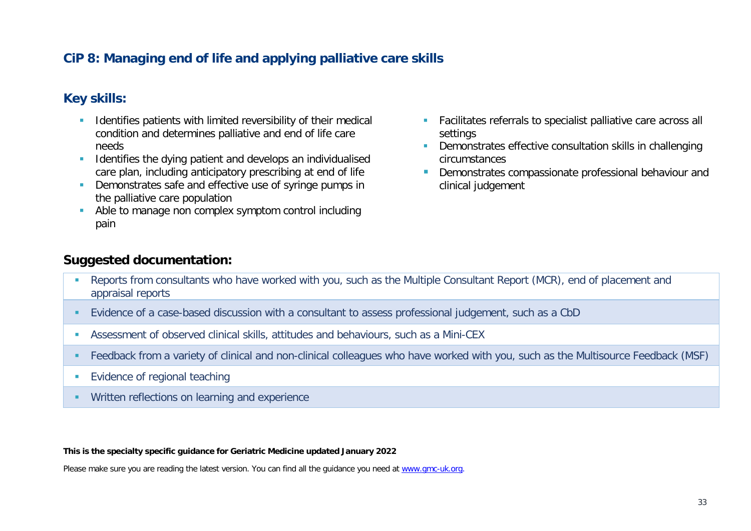# **CiP 8: Managing end of life and applying palliative care skills**

### **Key skills:**

- **If all identifies patients with limited reversibility of their medical** condition and determines palliative and end of life care needs
- **IDENTIFIEM** Identifies the dying patient and develops an individualised care plan, including anticipatory prescribing at end of life
- **Demonstrates safe and effective use of syringe pumps in** the palliative care population
- Able to manage non complex symptom control including pain
- Facilitates referrals to specialist palliative care across all settings
- **Demonstrates effective consultation skills in challenging** circumstances
- **Demonstrates compassionate professional behaviour and** clinical judgement

#### **Suggested documentation:**

- Reports from consultants who have worked with you, such as the Multiple Consultant Report (MCR), end of placement and appraisal reports
- Evidence of a case-based discussion with a consultant to assess professional judgement, such as a CbD
- Assessment of observed clinical skills, attitudes and behaviours, such as a Mini-CEX
- Feedback from a variety of clinical and non-clinical colleagues who have worked with you, such as the Multisource Feedback (MSF)
- **Evidence of regional teaching**
- **Written reflections on learning and experience**

**This is the specialty specific guidance for Geriatric Medicine updated January 2022**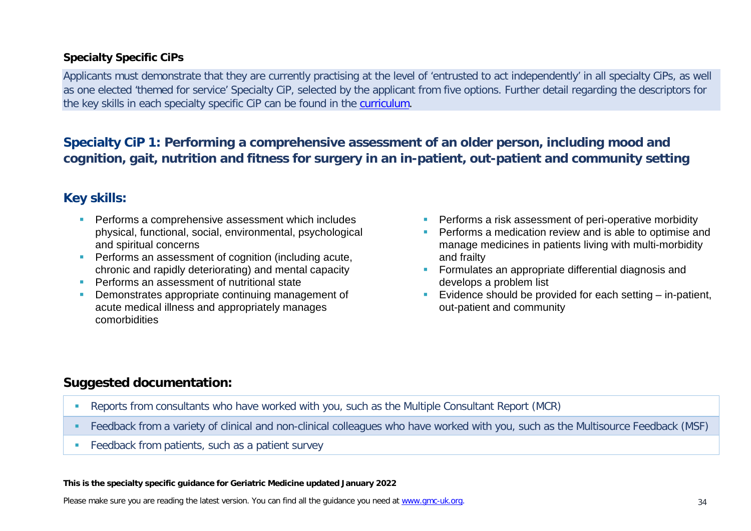#### **Specialty Specific CiPs**

Applicants must demonstrate that they are currently practising at the level of 'entrusted to act independently' in all specialty CiPs, as well as one elected 'themed for service' Specialty CiP, selected by the applicant from five options. Further detail regarding the descriptors for the key skills in each specialty specific CiP can be found in the [curriculum.](https://www.gmc-uk.org/education/standards-guidance-and-curricula/curricula#T)

# **Specialty CiP 1: Performing a comprehensive assessment of an older person, including mood and cognition, gait, nutrition and fitness for surgery in an in-patient, out-patient and community setting**

# **Key skills:**

- **Performs a comprehensive assessment which includes** physical, functional, social, environmental, psychological and spiritual concerns
- **Performs an assessment of cognition (including acute,** chronic and rapidly deteriorating) and mental capacity
- **Performs an assessment of nutritional state**
- **Demonstrates appropriate continuing management of** acute medical illness and appropriately manages comorbidities
- **Performs a risk assessment of peri-operative morbidity**
- Performs a medication review and is able to optimise and manage medicines in patients living with multi-morbidity and frailty
- **Formulates an appropriate differential diagnosis and** develops a problem list
- Evidence should be provided for each setting  $-$  in-patient, out-patient and community

# **Suggested documentation:**

- Reports from consultants who have worked with you, such as the Multiple Consultant Report (MCR)
- Feedback from a variety of clinical and non-clinical colleagues who have worked with you, such as the Multisource Feedback (MSF)
- **Feedback from patients, such as a patient survey**

#### **This is the specialty specific guidance for Geriatric Medicine updated January 2022**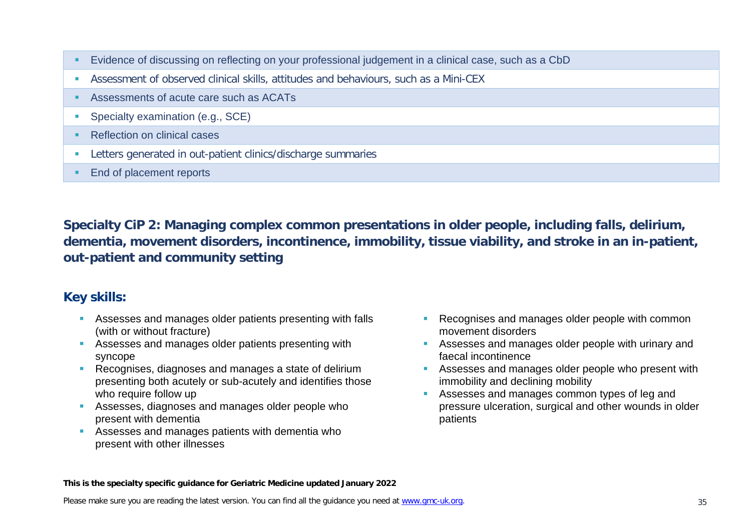- Evidence of discussing on reflecting on your professional judgement in a clinical case, such as a CbD
- Assessment of observed clinical skills, attitudes and behaviours, such as a Mini-CEX
- Assessments of acute care such as ACATs
- **Specialty examination (e.g., SCE)**
- Reflection on clinical cases
- Letters generated in out-patient clinics/discharge summaries
- **End of placement reports**

**Specialty CiP 2: Managing complex common presentations in older people, including falls, delirium, dementia, movement disorders, incontinence, immobility, tissue viability, and stroke in an in-patient, out-patient and community setting**

### **Key skills:**

- Assesses and manages older patients presenting with falls (with or without fracture)
- Assesses and manages older patients presenting with syncope
- Recognises, diagnoses and manages a state of delirium presenting both acutely or sub-acutely and identifies those who require follow up
- **Assesses, diagnoses and manages older people who** present with dementia
- Assesses and manages patients with dementia who present with other illnesses
- **Recognises and manages older people with common** movement disorders
- **Assesses and manages older people with urinary and** faecal incontinence
- **Assesses and manages older people who present with** immobility and declining mobility
- Assesses and manages common types of leg and pressure ulceration, surgical and other wounds in older patients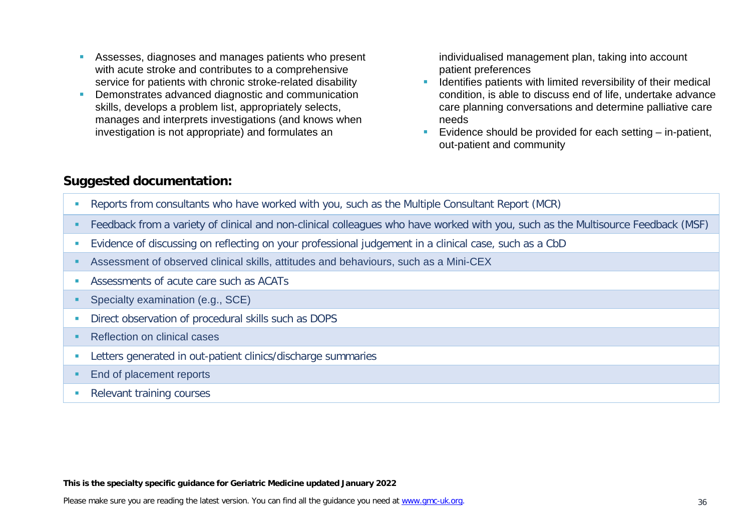- Assesses, diagnoses and manages patients who present with acute stroke and contributes to a comprehensive service for patients with chronic stroke-related disability
- **Demonstrates advanced diagnostic and communication** skills, develops a problem list, appropriately selects, manages and interprets investigations (and knows when investigation is not appropriate) and formulates an

individualised management plan, taking into account patient preferences

- **If Identifies patients with limited reversibility of their medical** condition, is able to discuss end of life, undertake advance care planning conversations and determine palliative care needs
- Evidence should be provided for each setting  $-$  in-patient, out-patient and community

### **Suggested documentation:**

- Reports from consultants who have worked with you, such as the Multiple Consultant Report (MCR)
- Feedback from a variety of clinical and non-clinical colleagues who have worked with you, such as the Multisource Feedback (MSF)
- Evidence of discussing on reflecting on your professional judgement in a clinical case, such as a CbD
- Assessment of observed clinical skills, attitudes and behaviours, such as a Mini-CEX
- Assessments of acute care such as ACATs
- **Specialty examination (e.g., SCE)**
- **Direct observation of procedural skills such as DOPS**
- Reflection on clinical cases
- **Letters generated in out-patient clinics/discharge summaries**
- **End of placement reports**
- Relevant training courses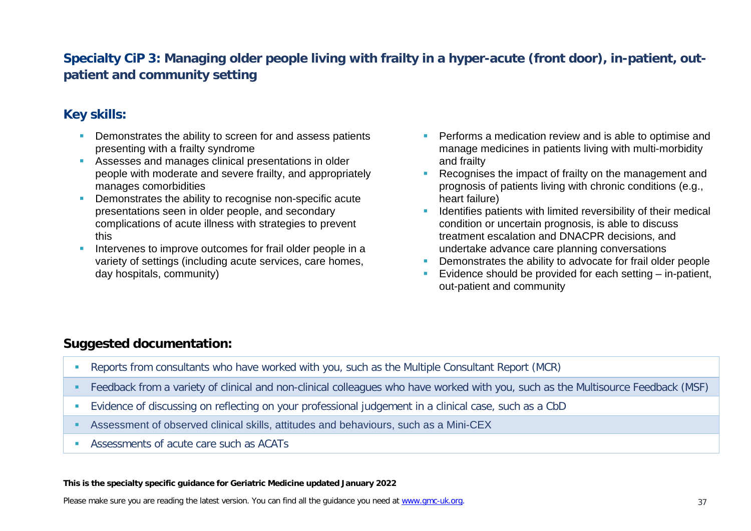# **Specialty CiP 3: Managing older people living with frailty in a hyper-acute (front door), in-patient, outpatient and community setting**

# **Key skills:**

- **Demonstrates the ability to screen for and assess patients** presenting with a frailty syndrome
- Assesses and manages clinical presentations in older people with moderate and severe frailty, and appropriately manages comorbidities
- **•** Demonstrates the ability to recognise non-specific acute presentations seen in older people, and secondary complications of acute illness with strategies to prevent this
- Intervenes to improve outcomes for frail older people in a variety of settings (including acute services, care homes, day hospitals, community)
- **Performs a medication review and is able to optimise and** manage medicines in patients living with multi-morbidity and frailty
- Recognises the impact of frailty on the management and prognosis of patients living with chronic conditions (e.g., heart failure)
- Identifies patients with limited reversibility of their medical condition or uncertain prognosis, is able to discuss treatment escalation and DNACPR decisions, and undertake advance care planning conversations
- Demonstrates the ability to advocate for frail older people
- Evidence should be provided for each setting in-patient, out-patient and community

# **Suggested documentation:**

- Reports from consultants who have worked with you, such as the Multiple Consultant Report (MCR)
- Feedback from a variety of clinical and non-clinical colleagues who have worked with you, such as the Multisource Feedback (MSF)
- Evidence of discussing on reflecting on your professional judgement in a clinical case, such as a CbD
- Assessment of observed clinical skills, attitudes and behaviours, such as a Mini-CEX
- Assessments of acute care such as ACATs

#### **This is the specialty specific guidance for Geriatric Medicine updated January 2022**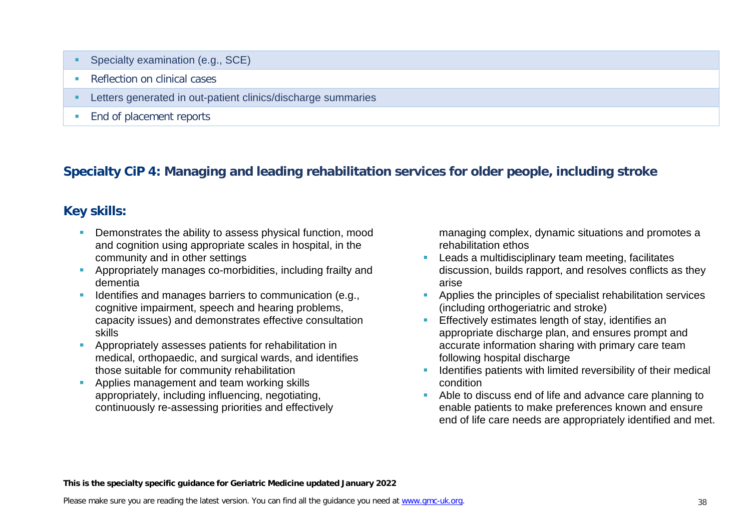- Specialty examination (e.g., SCE)
- Reflection on clinical cases
- Letters generated in out-patient clinics/discharge summaries
- **End of placement reports**

# **Specialty CiP 4: Managing and leading rehabilitation services for older people, including stroke**

# **Key skills:**

- **Demonstrates the ability to assess physical function, mood** and cognition using appropriate scales in hospital, in the community and in other settings
- Appropriately manages co-morbidities, including frailty and dementia
- Identifies and manages barriers to communication (e.g., cognitive impairment, speech and hearing problems, capacity issues) and demonstrates effective consultation skills
- Appropriately assesses patients for rehabilitation in medical, orthopaedic, and surgical wards, and identifies those suitable for community rehabilitation
- **Applies management and team working skills** appropriately, including influencing, negotiating, continuously re-assessing priorities and effectively

managing complex, dynamic situations and promotes a rehabilitation ethos

- **Leads a multidisciplinary team meeting, facilitates** discussion, builds rapport, and resolves conflicts as they arise
- **Applies the principles of specialist rehabilitation services** (including orthogeriatric and stroke)
- Effectively estimates length of stay, identifies an appropriate discharge plan, and ensures prompt and accurate information sharing with primary care team following hospital discharge
- Identifies patients with limited reversibility of their medical condition
- Able to discuss end of life and advance care planning to enable patients to make preferences known and ensure end of life care needs are appropriately identified and met.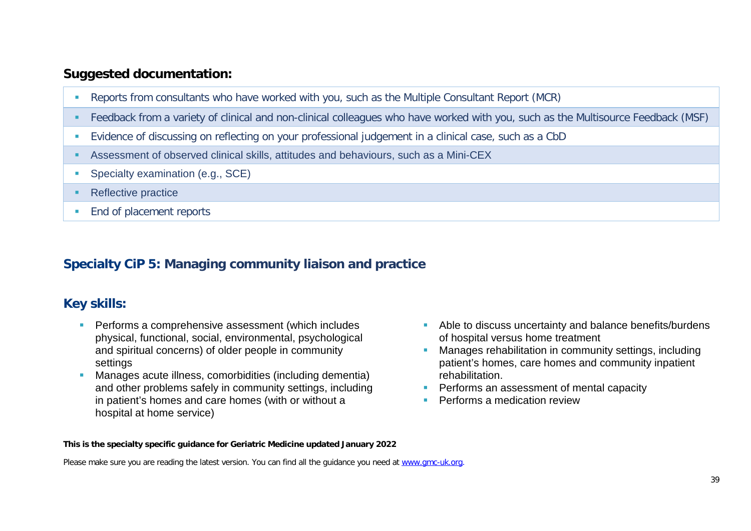- Reports from consultants who have worked with you, such as the Multiple Consultant Report (MCR)
- Feedback from a variety of clinical and non-clinical colleagues who have worked with you, such as the Multisource Feedback (MSF)
- Evidence of discussing on reflecting on your professional judgement in a clinical case, such as a CbD
- Assessment of observed clinical skills, attitudes and behaviours, such as a Mini-CEX
- **Specialty examination (e.g., SCE)**
- Reflective practice
- **End of placement reports**

# **Specialty CiP 5: Managing community liaison and practice**

# **Key skills:**

- **Performs a comprehensive assessment (which includes** physical, functional, social, environmental, psychological and spiritual concerns) of older people in community settings
- Manages acute illness, comorbidities (including dementia) and other problems safely in community settings, including in patient's homes and care homes (with or without a hospital at home service)
- Able to discuss uncertainty and balance benefits/burdens of hospital versus home treatment
- Manages rehabilitation in community settings, including patient's homes, care homes and community inpatient rehabilitation.
- **Performs an assessment of mental capacity**
- Performs a medication review

#### **This is the specialty specific guidance for Geriatric Medicine updated January 2022**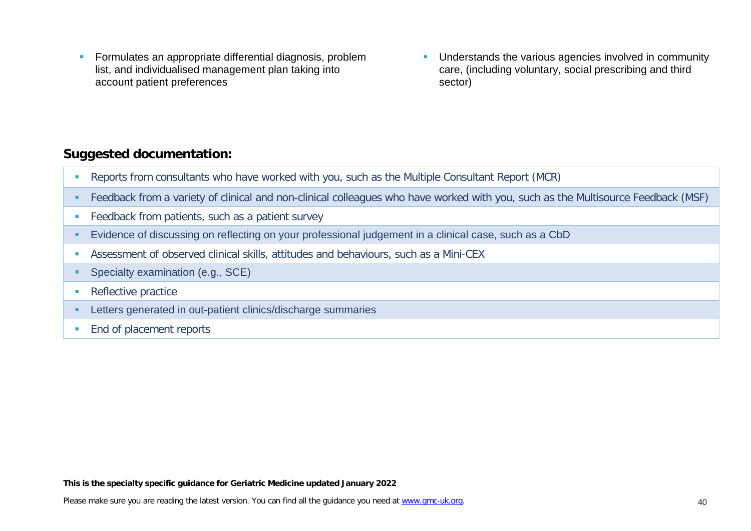- **Formulates an appropriate differential diagnosis, problem** list, and individualised management plan taking into account patient preferences
- **Understands the various agencies involved in community** care, (including voluntary, social prescribing and third sector)

- Reports from consultants who have worked with you, such as the Multiple Consultant Report (MCR)
- Feedback from a variety of clinical and non-clinical colleagues who have worked with you, such as the Multisource Feedback (MSF)
- **Feedback from patients, such as a patient survey**
- Evidence of discussing on reflecting on your professional judgement in a clinical case, such as a CbD
- Assessment of observed clinical skills, attitudes and behaviours, such as a Mini-CEX
- **Specialty examination (e.g., SCE)**
- **Reflective practice**
- **EXECTER** Letters generated in out-patient clinics/discharge summaries
- **End of placement reports**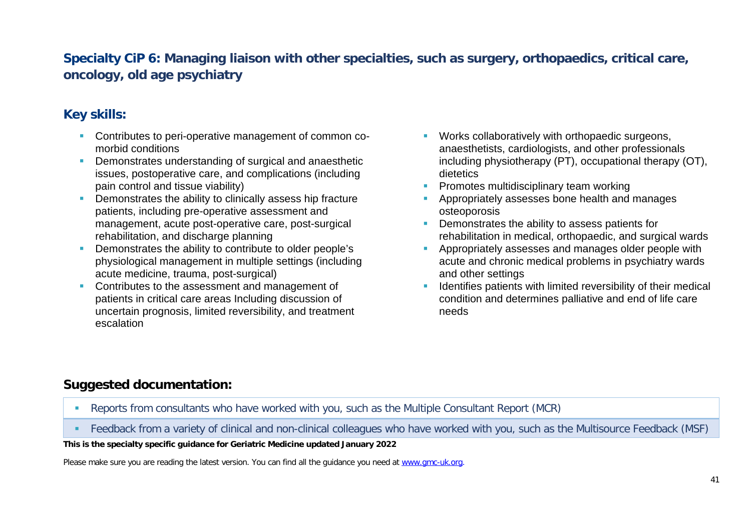# **Specialty CiP 6: Managing liaison with other specialties, such as surgery, orthopaedics, critical care, oncology, old age psychiatry**

# **Key skills:**

- **Contributes to peri-operative management of common co**morbid conditions
- Demonstrates understanding of surgical and anaesthetic issues, postoperative care, and complications (including pain control and tissue viability)
- **Demonstrates the ability to clinically assess hip fracture** patients, including pre-operative assessment and management, acute post-operative care, post-surgical rehabilitation, and discharge planning
- Demonstrates the ability to contribute to older people's physiological management in multiple settings (including acute medicine, trauma, post-surgical)
- **Contributes to the assessment and management of** patients in critical care areas Including discussion of uncertain prognosis, limited reversibility, and treatment escalation
- **Works collaboratively with orthopaedic surgeons,** anaesthetists, cardiologists, and other professionals including physiotherapy (PT), occupational therapy (OT), dietetics
- Promotes multidisciplinary team working
- **Appropriately assesses bone health and manages** osteoporosis
- **Demonstrates the ability to assess patients for** rehabilitation in medical, orthopaedic, and surgical wards
- **Appropriately assesses and manages older people with** acute and chronic medical problems in psychiatry wards and other settings
- Identifies patients with limited reversibility of their medical condition and determines palliative and end of life care needs

# **Suggested documentation:**

- Reports from consultants who have worked with you, such as the Multiple Consultant Report (MCR)
- Feedback from a variety of clinical and non-clinical colleagues who have worked with you, such as the Multisource Feedback (MSF)

#### **This is the specialty specific guidance for Geriatric Medicine updated January 2022**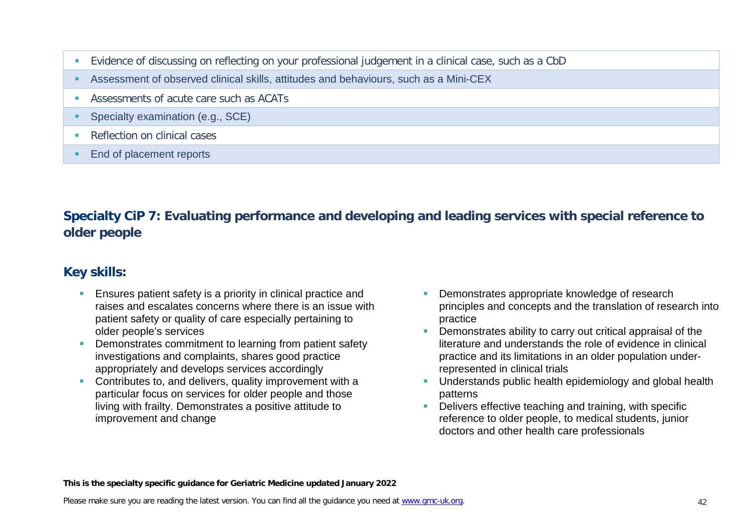- Evidence of discussing on reflecting on your professional judgement in a clinical case, such as a CbD
- Assessment of observed clinical skills, attitudes and behaviours, such as a Mini-CEX
- Assessments of acute care such as ACATs
- **Specialty examination (e.g., SCE)**
- **Reflection on clinical cases**
- End of placement reports

# **Specialty CiP 7: Evaluating performance and developing and leading services with special reference to older people**

# **Key skills:**

- **Ensures patient safety is a priority in clinical practice and** raises and escalates concerns where there is an issue with patient safety or quality of care especially pertaining to older people's services
- **Demonstrates commitment to learning from patient safety** investigations and complaints, shares good practice appropriately and develops services accordingly
- **Contributes to, and delivers, quality improvement with a** particular focus on services for older people and those living with frailty. Demonstrates a positive attitude to improvement and change
- Demonstrates appropriate knowledge of research principles and concepts and the translation of research into practice
- Demonstrates ability to carry out critical appraisal of the literature and understands the role of evidence in clinical practice and its limitations in an older population underrepresented in clinical trials
- **Understands public health epidemiology and global health** patterns
- Delivers effective teaching and training, with specific reference to older people, to medical students, junior doctors and other health care professionals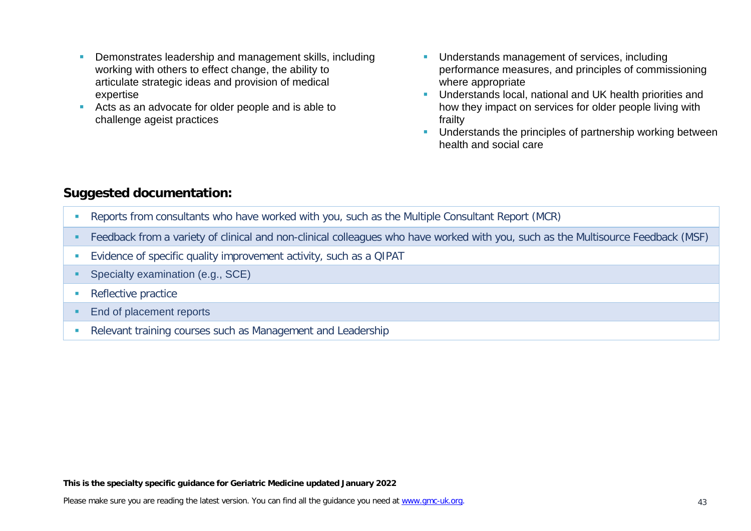- **Demonstrates leadership and management skills, including** working with others to effect change, the ability to articulate strategic ideas and provision of medical expertise
- Acts as an advocate for older people and is able to challenge ageist practices
- **Understands management of services, including** performance measures, and principles of commissioning where appropriate
- **Understands local, national and UK health priorities and** how they impact on services for older people living with frailty
- **Understands the principles of partnership working between** health and social care

- Reports from consultants who have worked with you, such as the Multiple Consultant Report (MCR)
- Feedback from a variety of clinical and non-clinical colleagues who have worked with you, such as the Multisource Feedback (MSF)
- Evidence of specific quality improvement activity, such as a QIPAT
- **Specialty examination (e.g., SCE)**
- **Reflective practice**
- **End of placement reports**
- Relevant training courses such as Management and Leadership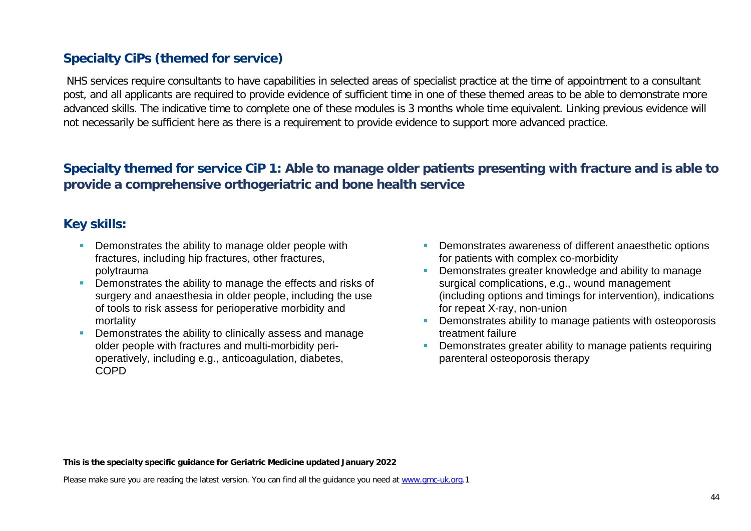# **Specialty CiPs (themed for service)**

NHS services require consultants to have capabilities in selected areas of specialist practice at the time of appointment to a consultant post, and all applicants are required to provide evidence of sufficient time in one of these themed areas to be able to demonstrate more advanced skills. The indicative time to complete one of these modules is 3 months whole time equivalent. Linking previous evidence will not necessarily be sufficient here as there is a requirement to provide evidence to support more advanced practice.

# **Specialty themed for service CiP 1: Able to manage older patients presenting with fracture and is able to provide a comprehensive orthogeriatric and bone health service**

### **Key skills:**

- **Demonstrates the ability to manage older people with** fractures, including hip fractures, other fractures, polytrauma
- **Demonstrates the ability to manage the effects and risks of** surgery and anaesthesia in older people, including the use of tools to risk assess for perioperative morbidity and mortality
- **Demonstrates the ability to clinically assess and manage** older people with fractures and multi-morbidity perioperatively, including e.g., anticoagulation, diabetes, COPD
- Demonstrates awareness of different anaesthetic options for patients with complex co-morbidity
- Demonstrates greater knowledge and ability to manage surgical complications, e.g., wound management (including options and timings for intervention), indications for repeat X-ray, non-union
- Demonstrates ability to manage patients with osteoporosis treatment failure
- **Demonstrates greater ability to manage patients requiring** parenteral osteoporosis therapy

**This is the specialty specific guidance for Geriatric Medicine updated January 2022**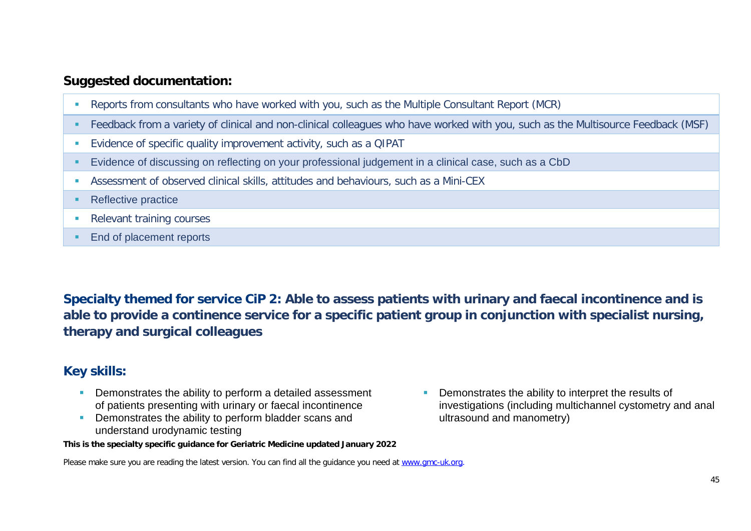- Reports from consultants who have worked with you, such as the Multiple Consultant Report (MCR)
- Feedback from a variety of clinical and non-clinical colleagues who have worked with you, such as the Multisource Feedback (MSF)
- Evidence of specific quality improvement activity, such as a QIPAT
- Evidence of discussing on reflecting on your professional judgement in a clinical case, such as a CbD
- Assessment of observed clinical skills, attitudes and behaviours, such as a Mini-CEX

#### • Reflective practice

- **Relevant training courses**
- End of placement reports

**Specialty themed for service CiP 2: Able to assess patients with urinary and faecal incontinence and is able to provide a continence service for a specific patient group in conjunction with specialist nursing, therapy and surgical colleagues**

### **Key skills:**

- **Demonstrates the ability to perform a detailed assessment** of patients presenting with urinary or faecal incontinence
- **•** Demonstrates the ability to perform bladder scans and understand urodynamic testing

**This is the specialty specific guidance for Geriatric Medicine updated January 2022**

**Demonstrates the ability to interpret the results of** investigations (including multichannel cystometry and anal ultrasound and manometry)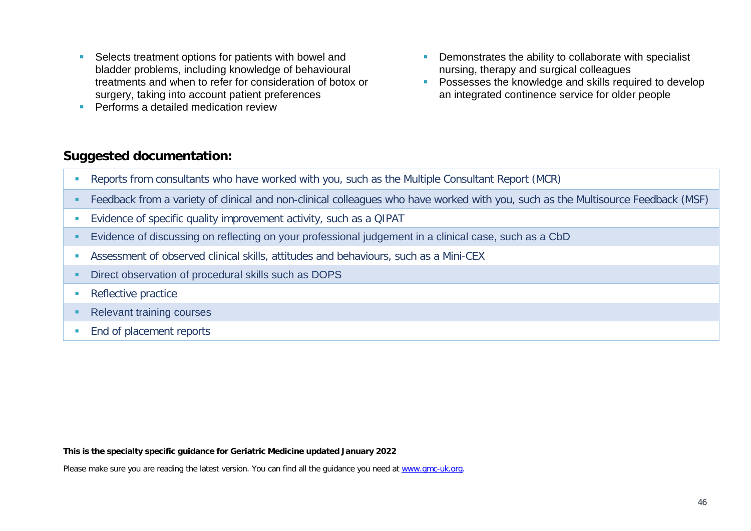- Selects treatment options for patients with bowel and bladder problems, including knowledge of behavioural treatments and when to refer for consideration of botox or surgery, taking into account patient preferences
- **Performs a detailed medication review**
- **•** Demonstrates the ability to collaborate with specialist nursing, therapy and surgical colleagues
- **Possesses the knowledge and skills required to develop** an integrated continence service for older people

- Reports from consultants who have worked with you, such as the Multiple Consultant Report (MCR)
- Feedback from a variety of clinical and non-clinical colleagues who have worked with you, such as the Multisource Feedback (MSF)
- Evidence of specific quality improvement activity, such as a QIPAT
- Evidence of discussing on reflecting on your professional judgement in a clinical case, such as a CbD
- Assessment of observed clinical skills, attitudes and behaviours, such as a Mini-CEX
- **Direct observation of procedural skills such as DOPS**
- Reflective practice
- Relevant training courses
- **End of placement reports**

**This is the specialty specific guidance for Geriatric Medicine updated January 2022**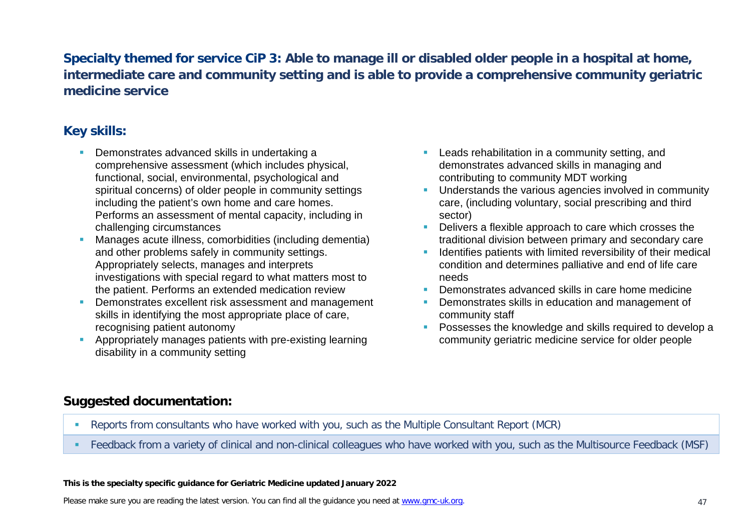# **Specialty themed for service CiP 3: Able to manage ill or disabled older people in a hospital at home, intermediate care and community setting and is able to provide a comprehensive community geriatric medicine service**

# **Key skills:**

- **Demonstrates advanced skills in undertaking a** comprehensive assessment (which includes physical, functional, social, environmental, psychological and spiritual concerns) of older people in community settings including the patient's own home and care homes. Performs an assessment of mental capacity, including in challenging circumstances
- Manages acute illness, comorbidities (including dementia) and other problems safely in community settings. Appropriately selects, manages and interprets investigations with special regard to what matters most to the patient. Performs an extended medication review
- **Demonstrates excellent risk assessment and management** skills in identifying the most appropriate place of care, recognising patient autonomy
- **Appropriately manages patients with pre-existing learning** disability in a community setting
- **Leads rehabilitation in a community setting, and** demonstrates advanced skills in managing and contributing to community MDT working
- **Understands the various agencies involved in community** care, (including voluntary, social prescribing and third sector)
- Delivers a flexible approach to care which crosses the traditional division between primary and secondary care
- **If Identifies patients with limited reversibility of their medical** condition and determines palliative and end of life care needs
- **Demonstrates advanced skills in care home medicine**
- Demonstrates skills in education and management of community staff
- **Possesses the knowledge and skills required to develop a** community geriatric medicine service for older people

### **Suggested documentation:**

- Reports from consultants who have worked with you, such as the Multiple Consultant Report (MCR)
- Feedback from a variety of clinical and non-clinical colleagues who have worked with you, such as the Multisource Feedback (MSF)

#### **This is the specialty specific guidance for Geriatric Medicine updated January 2022**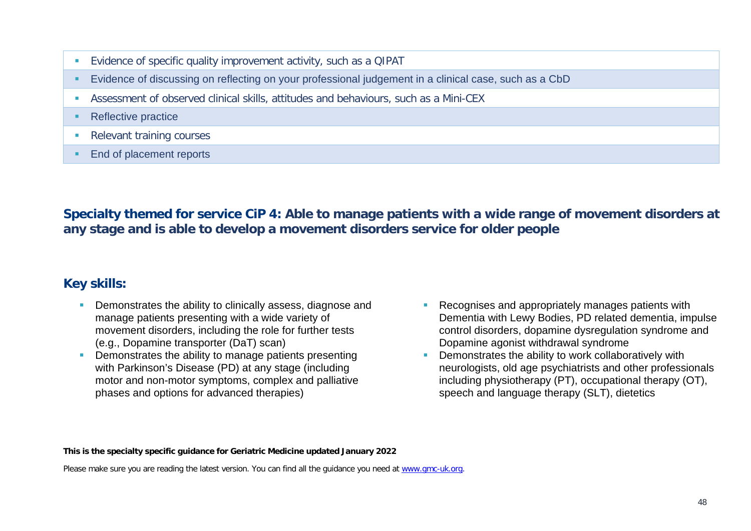- Evidence of specific quality improvement activity, such as a QIPAT
- Evidence of discussing on reflecting on your professional judgement in a clinical case, such as a CbD
- Assessment of observed clinical skills, attitudes and behaviours, such as a Mini-CEX
- Reflective practice
- **Relevant training courses**
- End of placement reports

**Specialty themed for service CiP 4: Able to manage patients with a wide range of movement disorders at any stage and is able to develop a movement disorders service for older people** 

### **Key skills:**

- **Demonstrates the ability to clinically assess, diagnose and** manage patients presenting with a wide variety of movement disorders, including the role for further tests (e.g., Dopamine transporter (DaT) scan)
- **•** Demonstrates the ability to manage patients presenting with Parkinson's Disease (PD) at any stage (including motor and non-motor symptoms, complex and palliative phases and options for advanced therapies)
- **Recognises and appropriately manages patients with** Dementia with Lewy Bodies, PD related dementia, impulse control disorders, dopamine dysregulation syndrome and Dopamine agonist withdrawal syndrome
- **•** Demonstrates the ability to work collaboratively with neurologists, old age psychiatrists and other professionals including physiotherapy (PT), occupational therapy (OT), speech and language therapy (SLT), dietetics

#### **This is the specialty specific guidance for Geriatric Medicine updated January 2022**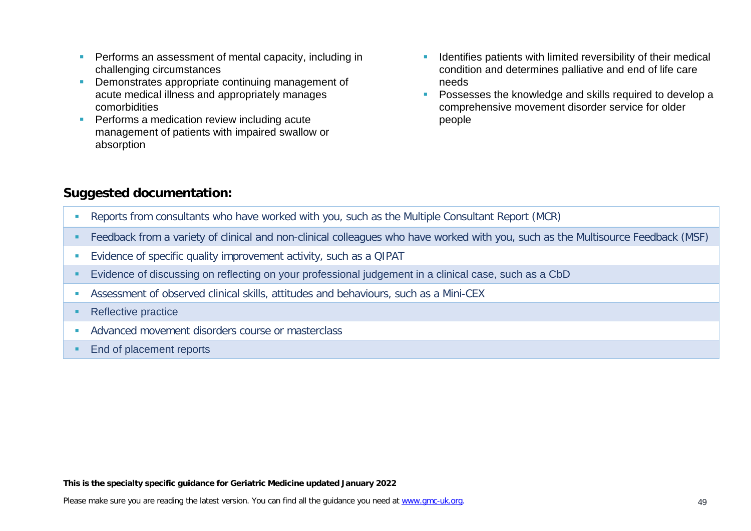- **Performs an assessment of mental capacity, including in** challenging circumstances
- **Demonstrates appropriate continuing management of** acute medical illness and appropriately manages comorbidities
- **Performs a medication review including acute** management of patients with impaired swallow or absorption
- **If Identifies patients with limited reversibility of their medical** condition and determines palliative and end of life care needs
- **Possesses the knowledge and skills required to develop a** comprehensive movement disorder service for older people

- Reports from consultants who have worked with you, such as the Multiple Consultant Report (MCR)
- Feedback from a variety of clinical and non-clinical colleagues who have worked with you, such as the Multisource Feedback (MSF)
- Evidence of specific quality improvement activity, such as a QIPAT
- Evidence of discussing on reflecting on your professional judgement in a clinical case, such as a CbD
- Assessment of observed clinical skills, attitudes and behaviours, such as a Mini-CEX
- Reflective practice
- **Advanced movement disorders course or masterclass**
- **End of placement reports**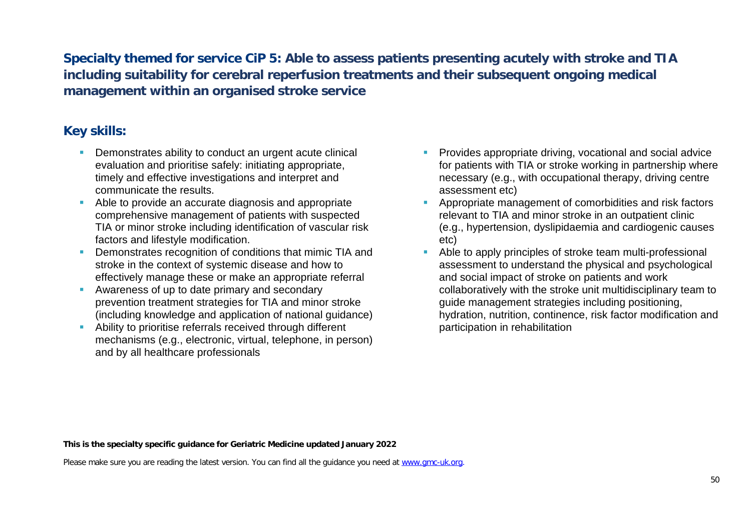**Specialty themed for service CiP 5: Able to assess patients presenting acutely with stroke and TIA including suitability for cerebral reperfusion treatments and their subsequent ongoing medical management within an organised stroke service**

### **Key skills:**

- **Demonstrates ability to conduct an urgent acute clinical** evaluation and prioritise safely: initiating appropriate, timely and effective investigations and interpret and communicate the results.
- Able to provide an accurate diagnosis and appropriate comprehensive management of patients with suspected TIA or minor stroke including identification of vascular risk factors and lifestyle modification.
- **Demonstrates recognition of conditions that mimic TIA and** stroke in the context of systemic disease and how to effectively manage these or make an appropriate referral
- Awareness of up to date primary and secondary prevention treatment strategies for TIA and minor stroke (including knowledge and application of national guidance)
- **Ability to prioritise referrals received through different** mechanisms (e.g., electronic, virtual, telephone, in person) and by all healthcare professionals
- Provides appropriate driving, vocational and social advice for patients with TIA or stroke working in partnership where necessary (e.g., with occupational therapy, driving centre assessment etc)
- **Appropriate management of comorbidities and risk factors** relevant to TIA and minor stroke in an outpatient clinic (e.g., hypertension, dyslipidaemia and cardiogenic causes etc)
- Able to apply principles of stroke team multi-professional assessment to understand the physical and psychological and social impact of stroke on patients and work collaboratively with the stroke unit multidisciplinary team to guide management strategies including positioning, hydration, nutrition, continence, risk factor modification and participation in rehabilitation

#### **This is the specialty specific guidance for Geriatric Medicine updated January 2022**